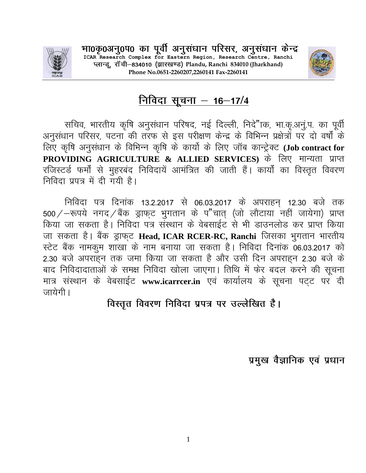

भा0कृ0अनु0प0 का पूर्वी अनुसंधान परिसर, अनुसंधान केन्द्र<br>ICAR Research Complex for Eastern Region, Research Centre, Ranchi प्लान्डू, रॉची-834010 (झारखण्ड) Plandu, Ranchi 834010 (Jharkhand) **Phone No.0651-2260207,2260141 Fax-2260141**



# <u> निविदा सूचना – 16–17/4</u>

सचिव, भारतीय कृषि अनुसंधान परिषद, नई दिल्ली, निदे"ाक, भा.कृ.अनु.प. का पूर्वी अनुसंधान परिसर, पटना की तरफ से इस परीक्षण केन्द्र के विभिन्न प्रक्षेत्रों पर दो वर्षों के **fy, d`f'k vuqla/kku ds fofHkUu d`f'k ds dk;ksZ ds fy, tkWc dkUVsªDV (Job contract for PROVIDING AGRICULTURE & ALLIED SERVICES)** के लिए मान्यता प्राप्त रजिस्टर्ड फर्मों से मुहरबंद निविदायें आमंत्रित की जाती हैं। कार्यों का विस्तृत विवरण <u>निविदा प्रपत्र में दी गयी है।</u>

निविदा पत्र दिनांक 13.2.2017 से 06.03.2017 के अपराहन् 12.30 बजे तक 500/-रूपये नगद/बैंक ड्राफ्**ट भुगतान के प"चात् (जो लौटाया नहीं जायेगा**) प्राप्त किया जा सकता है। निविदा पत्र संस्थान के वेबसाईट से भी डाउनलोड कर प्राप्त किया जा सकता है। बैंक ड्राफ्ट Head, ICAR RCER-RC, Ranchi जिसका भुगतान भारतीय **LV sV cSad ukedqe "kk[kk ds uke cuk;k tk ldrk gSA fufonk fnukad 06-03-2017 dks**  2.30 बजे अपराहन तक जमा किया जा सकता है और उसी दिन अपराहन 2.30 बजे के बाद निविदादाताओं के समक्ष निविदा खोला जाएगा। तिथि में फेर बदल करने की सूचना मात्र संस्थान के वेबसाईट www.icarrcer.in एवं कार्यालय के सूचना पट्ट पर दी **जायेगी** ।

विस्तृत विवरण निविदा प्रपत्र पर उल्लेखित है।

प्रमुख वैज्ञानिक एवं प्रधान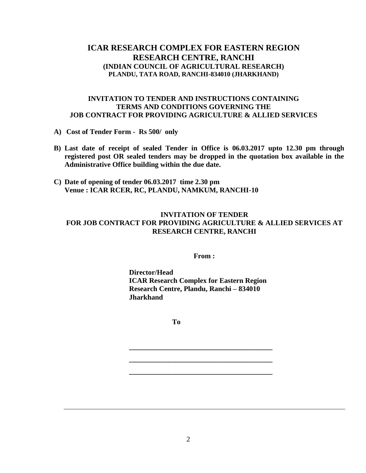# **ICAR RESEARCH COMPLEX FOR EASTERN REGION RESEARCH CENTRE, RANCHI (INDIAN COUNCIL OF AGRICULTURAL RESEARCH) PLANDU, TATA ROAD, RANCHI-834010 (JHARKHAND)**

## **INVITATION TO TENDER AND INSTRUCTIONS CONTAINING TERMS AND CONDITIONS GOVERNING THE JOB CONTRACT FOR PROVIDING AGRICULTURE & ALLIED SERVICES**

- **A) Cost of Tender Form Rs 500/ only**
- **B) Last date of receipt of sealed Tender in Office is 06.03.2017 upto 12.30 pm through registered post OR sealed tenders may be dropped in the quotation box available in the Administrative Office building within the due date.**
- **C) Date of opening of tender 06.03.2017 time 2.30 pm Venue : ICAR RCER, RC, PLANDU, NAMKUM, RANCHI-10**

## **INVITATION OF TENDER FOR JOB CONTRACT FOR PROVIDING AGRICULTURE & ALLIED SERVICES AT RESEARCH CENTRE, RANCHI**

**From :**

**Director/Head ICAR Research Complex for Eastern Region Research Centre, Plandu, Ranchi – 834010 Jharkhand**

**\_\_\_\_\_\_\_\_\_\_\_\_\_\_\_\_\_\_\_\_\_\_\_\_\_\_\_\_\_\_\_\_\_\_\_\_\_\_\_\_**

**\_\_\_\_\_\_\_\_\_\_\_\_\_\_\_\_\_\_\_\_\_\_\_\_\_\_\_\_\_\_\_\_\_\_\_\_\_\_\_\_**

**\_\_\_\_\_\_\_\_\_\_\_\_\_\_\_\_\_\_\_\_\_\_\_\_\_\_\_\_\_\_\_\_\_\_\_\_\_\_\_\_**

**To**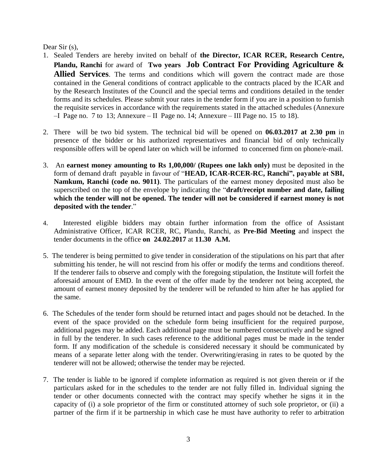Dear Sir (s).

- 1. Sealed Tenders are hereby invited on behalf of **the Director, ICAR RCER, Research Centre, Plandu, Ranchi** for award of **Two years Job Contract For Providing Agriculture & Allied Services**. The terms and conditions which will govern the contract made are those contained in the General conditions of contract applicable to the contracts placed by the ICAR and by the Research Institutes of the Council and the special terms and conditions detailed in the tender forms and its schedules. Please submit your rates in the tender form if you are in a position to furnish the requisite services in accordance with the requirements stated in the attached schedules (Annexure  $-$ I Page no. 7 to 13; Annexure – II Page no. 14; Annexure – III Page no. 15 to 18).
- 2. There will be two bid system. The technical bid will be opened on **06.03.2017 at 2.30 pm** in presence of the bidder or his authorized representatives and financial bid of only technically responsible offers will be opend later on which will be informed to concerned firm on phone/e-mail.
- 3. An **earnest money amounting to Rs 1,00,000/ (Rupees one lakh only)** must be deposited in the form of demand draft payable in favour of "**HEAD, ICAR-RCER-RC, Ranchi", payable at SBI, Namkum, Ranchi (code no. 9011)**. The particulars of the earnest money deposited must also be superscribed on the top of the envelope by indicating the "**draft/receipt number and date, failing which the tender will not be opened. The tender will not be considered if earnest money is not deposited with the tender**."
- 4. Interested eligible bidders may obtain further information from the office of Assistant Administrative Officer, ICAR RCER, RC, Plandu, Ranchi, as **Pre-Bid Meeting** and inspect the tender documents in the office **on 24.02.2017** at **11.30 A.M.**
- 5. The tenderer is being permitted to give tender in consideration of the stipulations on his part that after submitting his tender, he will not rescind from his offer or modify the terms and conditions thereof. If the tenderer fails to observe and comply with the foregoing stipulation, the Institute will forfeit the aforesaid amount of EMD. In the event of the offer made by the tenderer not being accepted, the amount of earnest money deposited by the tenderer will be refunded to him after he has applied for the same.
- 6. The Schedules of the tender form should be returned intact and pages should not be detached. In the event of the space provided on the schedule form being insufficient for the required purpose, additional pages may be added. Each additional page must be numbered consecutively and be signed in full by the tenderer. In such cases reference to the additional pages must be made in the tender form. If any modification of the schedule is considered necessary it should be communicated by means of a separate letter along with the tender. Overwriting/erasing in rates to be quoted by the tenderer will not be allowed; otherwise the tender may be rejected.
- 7. The tender is liable to be ignored if complete information as required is not given therein or if the particulars asked for in the schedules to the tender are not fully filled in. Individual signing the tender or other documents connected with the contract may specify whether he signs it in the capacity of (i) a sole proprietor of the firm or constituted attorney of such sole proprietor, or (ii) a partner of the firm if it be partnership in which case he must have authority to refer to arbitration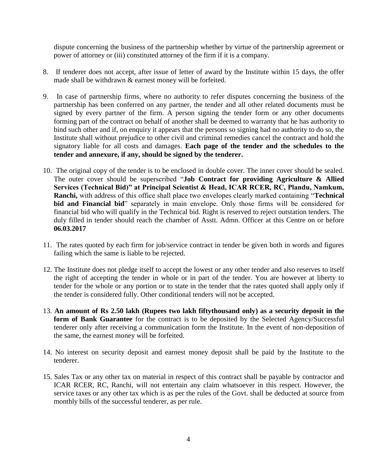dispute concerning the business of the partnership whether by virtue of the partnership agreement or power of attorney or (iii) constituted attorney of the firm if it is a company.

- 8. If tenderer does not accept, after issue of letter of award by the Institute within 15 days, the offer made shall be withdrawn & earnest money will be forfeited.
- 9. In case of partnership firms, where no authority to refer disputes concerning the business of the partnership has been conferred on any partner, the tender and all other related documents must be signed by every partner of the firm. A person signing the tender form or any other documents forming part of the contract on behalf of another shall be deemed to warranty that he has authority to bind such other and if, on enquiry it appears that the persons so signing had no authority to do so, the Institute shall without prejudice to other civil and criminal remedies cancel the contract and hold the signatory liable for all costs and damages. **Each page of the tender and the schedules to the tender and annexure, if any, should be signed by the tenderer.**
- 10. The original copy of the tender is to be enclosed in double cover. The inner cover should be sealed. The outer cover should be superscribed "**Job Contract for providing Agriculture & Allied Services (Technical Bid)" at Principal Scientist & Head, ICAR RCER, RC, Plandu, Namkum, Ranchi,** with address of this office shall place two envelopes clearly marked containing "**Technical bid and Financial bid**" separately in main envelope. Only those firms will be considered for financial bid who will qualify in the Technical bid. Right is reserved to reject outstation tenders. The duly filled in tender should reach the chamber of Asstt. Admn. Officer at this Centre on or before **06.03.2017**
- 11. The rates quoted by each firm for job/service contract in tender be given both in words and figures failing which the same is liable to be rejected.
- 12. The Institute does not pledge itself to accept the lowest or any other tender and also reserves to itself the right of accepting the tender in whole or in part of the tender. You are however at liberty to tender for the whole or any portion or to state in the tender that the rates quoted shall apply only if the tender is considered fully. Other conditional tenders will not be accepted.
- 13. **An amount of Rs 2.50 lakh (Rupees two lakh fiftythousand only) as a security deposit in the**  form of Bank Guarantee for the contract is to be deposited by the Selected Agency/Successful tenderer only after receiving a communication form the Institute. In the event of non-deposition of the same, the earnest money will be forfeited.
- 14. No interest on security deposit and earnest money deposit shall be paid by the Institute to the tenderer.
- 15. Sales Tax or any other tax on material in respect of this contract shall be payable by contractor and ICAR RCER, RC, Ranchi, will not entertain any claim whatsoever in this respect. However, the service taxes or any other tax which is as per the rules of the Govt. shall be deducted at source from monthly bills of the successful tenderer, as per rule.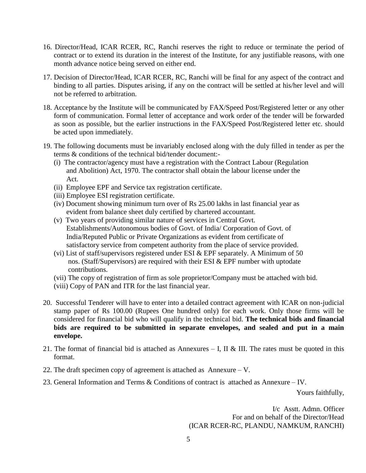- 16. Director/Head, ICAR RCER, RC, Ranchi reserves the right to reduce or terminate the period of contract or to extend its duration in the interest of the Institute, for any justifiable reasons, with one month advance notice being served on either end.
- 17. Decision of Director/Head, ICAR RCER, RC, Ranchi will be final for any aspect of the contract and binding to all parties. Disputes arising, if any on the contract will be settled at his/her level and will not be referred to arbitration.
- 18. Acceptance by the Institute will be communicated by FAX/Speed Post/Registered letter or any other form of communication. Formal letter of acceptance and work order of the tender will be forwarded as soon as possible, but the earlier instructions in the FAX/Speed Post/Registered letter etc. should be acted upon immediately.
- 19. The following documents must be invariably enclosed along with the duly filled in tender as per the terms & conditions of the technical bid/tender document:-
	- (i) The contractor/agency must have a registration with the Contract Labour (Regulation and Abolition) Act, 1970. The contractor shall obtain the labour license under the Act.
	- (ii) Employee EPF and Service tax registration certificate.
	- (iii) Employee ESI registration certificate.
	- (iv) Document showing minimum turn over of Rs 25.00 lakhs in last financial year as evident from balance sheet duly certified by chartered accountant.
	- (v) Two years of providing similar nature of services in Central Govt. Establishments/Autonomous bodies of Govt. of India/ Corporation of Govt. of India/Reputed Public or Private Organizations as evident from certificate of satisfactory service from competent authority from the place of service provided.
	- (vi) List of staff/supervisors registered under ESI  $&$  EPF separately. A Minimum of 50 nos. (Staff/Supervisors) are required with their ESI & EPF number with uptodate contributions.
	- (vii) The copy of registration of firm as sole proprietor/Company must be attached with bid.
	- (viii) Copy of PAN and ITR for the last financial year.
- 20. Successful Tenderer will have to enter into a detailed contract agreement with ICAR on non-judicial stamp paper of Rs 100.00 (Rupees One hundred only) for each work. Only those firms will be considered for financial bid who will qualify in the technical bid. **The technical bids and financial bids are required to be submitted in separate envelopes, and sealed and put in a main envelope.**
- 21. The format of financial bid is attached as Annexures  $-$  I, II & III. The rates must be quoted in this format.
- 22. The draft specimen copy of agreement is attached as Annexure V.
- 23. General Information and Terms & Conditions of contract is attached as Annexure IV.

Yours faithfully,

I/c Asstt. Admn. Officer For and on behalf of the Director/Head (ICAR RCER-RC, PLANDU, NAMKUM, RANCHI)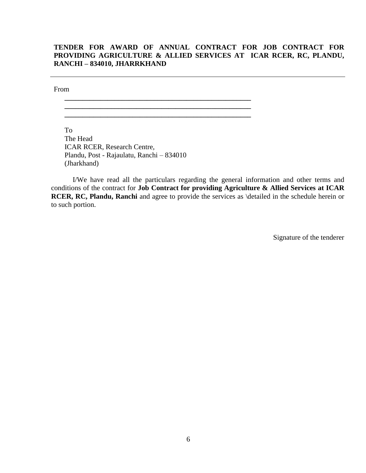# **TENDER FOR AWARD OF ANNUAL CONTRACT FOR JOB CONTRACT FOR PROVIDING AGRICULTURE & ALLIED SERVICES AT ICAR RCER, RC, PLANDU, RANCHI – 834010, JHARRKHAND**

From

To The Head ICAR RCER, Research Centre, Plandu, Post - Rajaulatu, Ranchi – 834010 (Jharkhand)

**\_\_\_\_\_\_\_\_\_\_\_\_\_\_\_\_\_\_\_\_\_\_\_\_\_\_\_\_\_\_\_\_\_\_\_\_\_\_\_\_\_\_\_\_\_\_\_\_\_\_\_\_ \_\_\_\_\_\_\_\_\_\_\_\_\_\_\_\_\_\_\_\_\_\_\_\_\_\_\_\_\_\_\_\_\_\_\_\_\_\_\_\_\_\_\_\_\_\_\_\_\_\_\_\_ \_\_\_\_\_\_\_\_\_\_\_\_\_\_\_\_\_\_\_\_\_\_\_\_\_\_\_\_\_\_\_\_\_\_\_\_\_\_\_\_\_\_\_\_\_\_\_\_\_\_\_\_**

I/We have read all the particulars regarding the general information and other terms and conditions of the contract for **Job Contract for providing Agriculture & Allied Services at ICAR RCER, RC, Plandu, Ranchi** and agree to provide the services as \detailed in the schedule herein or to such portion.

Signature of the tenderer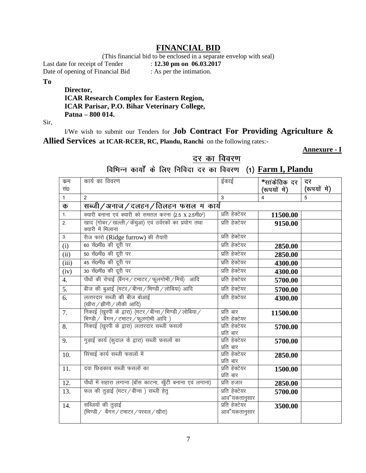# **FINANCIAL BID**

(This financial bid to be enclosed in a separate envelop with seal)<br>  $f$  Tender : 12.30 pm on 06.03.2017

Last date for receipt of Tender

Date of opening of Financial Bid : As per the intimation.

**To**

# **Director, ICAR Research Complex for Eastern Region, ICAR Parisar, P.O. Bihar Veterinary College, Patna – 800 014.**

Sir,

I/We wish to submit our Tenders for **Job Contract For Providing Agriculture & Allied Services at ICAR-RCER, RC, Plandu, Ranchi** on the following rates:-

**Annexure - I**

# दर का विवरण

विभिन्न कार्यों के लिए निविदा दर का विवरण (1) Farm I, Plandu

| क्रम                       | कार्य का विवरण                                                                                     | ईकाई                           | *सांकेतिक दर   | दर           |
|----------------------------|----------------------------------------------------------------------------------------------------|--------------------------------|----------------|--------------|
| सं०                        |                                                                                                    |                                | (रूपयों में)   | (रूपयों में) |
| $\mathbf{1}$               | $\overline{2}$                                                                                     | 3                              | $\overline{4}$ | 5            |
| क                          | सब्जी/अनाज/दलहन/तिलहन फसल म कार्य                                                                  |                                |                |              |
| 1.                         | क्यारी बनाना एवं क्यारी को समतल करना (2.5 x 2.5मी0 <sup>2</sup> )                                  | प्रति हेक्टेयर                 | 11500.00       |              |
| 2.                         | खाद (गोबर / खल्ली / केंचुआ) एवं उर्वरकों का प्रयोग तथा<br>क्यारी में मिलाना                        | प्रति हेक्टेयर                 | 9150.00        |              |
| 3.                         | रीज फारो (Ridge furrow) की तैयारी                                                                  | प्रति हेक्टेयर                 |                |              |
| (i)                        | 60 सें0मी0 की दूरी पर                                                                              | प्रति हेक्टेयर                 | 2850.00        |              |
| $\overline{(\mathrm{ii})}$ | 50 सें0मी0 की दूरी पर                                                                              | प्रति हेक्टेयर                 | 2850.00        |              |
| (iii)                      | 45 सें0मी0 की दूरी पर                                                                              | प्रति हेक्टेयर                 | 4300.00        |              |
| (iv)                       | 30 सें0मी0 की दूरी पर                                                                              | प्रति हेक्टेयर                 | 4300.00        |              |
| 4.                         | पौधों की रोपाई (बैंगन / टमाटर / फूलगोभी / मिर्च) आदि                                               | प्रति हेक्टेयर                 | 5700.00        |              |
| 5.                         | बीज की बुआई (मटर / बीन्स / भिण्डी / लोबिया) आदि                                                    | प्रति हेक्टेयर                 | 5700.00        |              |
| 6.                         | लत्तरदार सब्जी की बीज बोआई<br>(खीरा / झींगी / लौकी आदि)                                            | प्रति हेक्टेयर                 | 4300.00        |              |
| 7.                         | निकाई (खुरपी के द्वारा) (मटर / बीन्स / भिण्डी / लोबिया /<br>भिण्डी / बैंगन / टमाटर / फूलगोभी आदि ) | प्रति बार<br>प्रति हेक्टेयर    | 11500.00       |              |
| 8.                         | निकाई (खुरपी के द्वारा) लत्तरदार सब्जी फसलों                                                       | प्रति हेक्टेयर<br>प्रति बार    | 5700.00        |              |
| 9.                         | गुड़ाई कार्य (कुदाल के द्वारा) सब्जी फसलों का                                                      | प्रति हेक्टेयर<br>प्रति बार    | 5700.00        |              |
| 10.                        | सिंचाई कार्य सब्जी फसलों में                                                                       | प्रति हेक्टेयर<br>प्रति बार    | 2850.00        |              |
| 11.                        | दवा छिड़काव सब्जी फसलों का                                                                         | प्रति हेक्टेयर<br>प्रति बार    | 1500.00        |              |
| 12.                        | पौधों में सहारा लगाना (बॉस काटना, खुँटी बनाना एवं लगाना)                                           | प्रति हजार                     | 2850.00        |              |
| 13.                        | फल की तुड़ाई (मटर / बीन्स) सब्जी हेतु                                                              | प्रति हेक्टेयर<br>आव"यकतानुसार | 5700.00        |              |
| 14.                        | सब्जियों की तुड़ाई<br>(भिण्डी / बैंगन / टमाटर / परवल / खीरा)                                       | प्रति हेक्टेयर<br>आव"यकतानुसार | 3500.00        |              |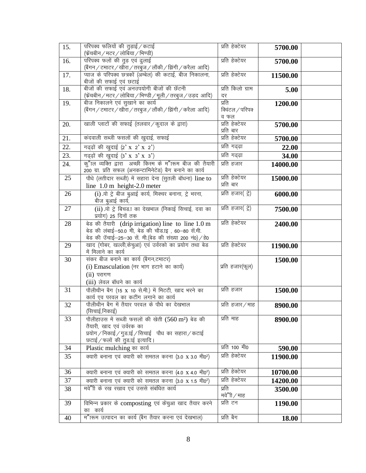| 15. | परिपक्व फलियों की तुड़ाई / कटाई<br>(फ्रेंचबीन / मटर / लोबिया / भिण्डी)                                              | प्रति हेक्टेयर         | 5700.00  |  |
|-----|---------------------------------------------------------------------------------------------------------------------|------------------------|----------|--|
| 16. | परिपक्व फलों की तुड़ एवं ढ्लाई                                                                                      | प्रति हेक्टेयर         | 5700.00  |  |
|     | (बैंगन / टमाटर / खीरा / तरबुज / लौंकी / झिंगी / करैला  आदि)                                                         |                        |          |  |
| 17. | प्याज के परिपक्व छत्रकों (अम्बेल) की कटाई, बीज निकालना,                                                             | प्रति हेक्टेयर         | 11500.00 |  |
|     | बीजों की सफाई एवं छटाई                                                                                              |                        |          |  |
| 18. | बीजों की सफाई एवं अनउपयोगी बीजों की छॅटनी<br>(फ्रेंचबीन / मटर / लोबिया / भिण्डी / मूली / तरबुज / उड़द  आदि)         | प्रति किलो ग्राम<br>दर | 5.00     |  |
| 19. | बीज निकालने एवं सुखाने का कार्य                                                                                     | प्रति                  | 1200.00  |  |
|     | (बैंगन / टमाटर / खीरा / तरबुज / लौंकी / झिंगी / करैला आदि)                                                          | क्विंटल / परिपक        |          |  |
|     |                                                                                                                     | व फल                   |          |  |
| 20. | खाली प्लाटों की सफाई (तलवार / कुदाल के द्वारा)                                                                      | प्रति हेक्टेयर         | 5700.00  |  |
|     |                                                                                                                     | प्रति बार              |          |  |
| 21. | कंदवाली सब्जी फसलों की खुदाई, सफाई                                                                                  | प्रति हेक्टेयर         | 5700.00  |  |
| 22. | गढ्ढ़ों की खुदाई (2' x 2' x 2')                                                                                     | प्रति गढ्ढ़ा           | 22.00    |  |
| 23. | गढ्ढ़ों की खुदाई (3' x 3' x 3')                                                                                     | प्रति गढ्ढ़ा           | 34.00    |  |
| 24. | क्"ाल व्यक्ति द्वारा अच्छी किस्म के म"ारूम बीज की तैयारी<br>200 ग्रा. प्रति सफल (अनकन्टामिनेटेड) बैग बनाने का कार्य | प्रति हजार             | 14000.00 |  |
| 25  | पौधे (लतीदार सब्जी) में सहारा देना (सुतली बॉधना) line to                                                            | प्रति हेक्टेयर         | 15000.00 |  |
|     | line $1.0 \text{ m}$ height-2.0 meter                                                                               | प्रति बार              |          |  |
| 26  | (i) प्रो ट्रे बीज बुआई कार्य, मिक्चर बनाना, ट्रे भरना,                                                              | प्रति हजार( ट्रे)      | 6000.00  |  |
|     | बीज बुआई कार्य,                                                                                                     |                        |          |  |
| 27  | (ii) प्रो ट्रे बिचड़ा का देखभाल (निकाई सिचाई, दवा का                                                                | प्रति हजार( ट्रे)      | 7500.00  |  |
|     | प्रयोग) 25 दिनों तक                                                                                                 |                        |          |  |
| 28  | बेड की तैयारी (drip irrigation) line to line 1.0 m                                                                  | प्रति हेक्टेयर         | 2400.00  |  |
|     | बेड की लंबाई-50.0 मी, बेड की चौड़ाइ, 60-80 सें.मी.<br>बेड की उँचाई-25-30 सें. मी.(बेड की संख्या 200 नं0)/हे0        |                        |          |  |
| 29  | खाद (गोबर, खल्ली,केचुआ) एवं उर्वरको का प्रयोग तथा बेड                                                               | प्रति हेक्टेयर         | 11900.00 |  |
|     | में मिलाने का कार्य                                                                                                 |                        |          |  |
| 30  | संकर बीज बनाने का कार्य (बैगन,टमाटर)                                                                                |                        | 1500.00  |  |
|     | (i) Emasculation (नर भाग हटाने का कार्य)                                                                            | प्रति हजार(फूल)        |          |  |
|     | $(ii)$ परागण                                                                                                        |                        |          |  |
|     | (iii) लेवल बॉधने का कार्य                                                                                           |                        |          |  |
| 31  | पौलीथीन बैग (15 x 10 से.मी.) में मिटटी, खाद भरने का                                                                 | प्रति हजार             | 1500.00  |  |
| 32  | कार्य एव परवल का कटींग लगाने का कार्य<br>पौलीथीन बैग में तैयार परवल के पौधे का देखभाल                               | प्रति हजार/माह         |          |  |
|     | (सिचाई,निकाई)                                                                                                       |                        | 8900.00  |  |
| 33  | पौलीहाउस में सब्जी फसलों की खेती (560 m <sup>2</sup> ) बेड की                                                       | प्रति माह              | 8900.00  |  |
|     | तैयारी, खाद एवं उर्वरक का                                                                                           |                        |          |  |
|     | प्रयोग / निकाई / गुड.ाई / सिचाई पौध का सहारा / कटाई                                                                 |                        |          |  |
| 34  | छटाई / फलों की तुड़ ाई इत्यादि।                                                                                     | प्रति 100 मी0          | 590.00   |  |
| 35  | Plastic mulching का कार्य                                                                                           | प्रति हेक्टेयर         |          |  |
|     | क्यारी बनाना एवं क्यारी को समतल करना (3.0 x 3.0 मी0 <sup>2</sup> )                                                  |                        | 11900.00 |  |
| 36  | क्यारी बनाना एवं क्यारी को समतल करना (4.0 x 4.0 मी0 <sup>2</sup> )                                                  | प्रति हेक्टेयर         | 10700.00 |  |
| 37  | क्यारी बनाना एवं क्यारी को समतल करना (3.0 x 1.5 मी0 <sup>2</sup> )                                                  | प्रति हेक्टेयर         | 14200.00 |  |
| 38  | मवे"ी के रख रखाव एवं उससे संबंधित कार्य                                                                             | प्रति                  | 3500.00  |  |
|     |                                                                                                                     | मवे"ी / माह            |          |  |
| 39  | विभिन्न प्रकार के composting एवं केंचुआ खाद तैयार करने                                                              | प्रति टन               | 1190.00  |  |
|     | का कार्य                                                                                                            |                        |          |  |
| 40  | म"ग्रूम उत्पादन का कार्य (बैग तैयार करना एवं देखभाल)                                                                | प्रति बैग              | 18.00    |  |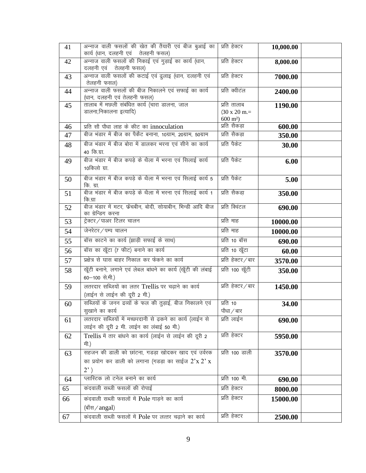| 41 | अन्नाज वाली फसलों की खेत की तैयारी एवं बीज बुआई का<br>कार्य (धान, दलहनी एवं तेलहनी फसल)                                   | प्रति हेक्टर                                                      | 10,000.00 |  |
|----|---------------------------------------------------------------------------------------------------------------------------|-------------------------------------------------------------------|-----------|--|
| 42 | अन्नाज वाली फसलों की निकाई एवं गुड़ाई का कार्य (धान,<br>दलहनी एवं तेलहनी फसल)                                             | प्रति हेक्टर                                                      | 8,000.00  |  |
| 43 | अन्नाज वाली फसलों की कटाई एवं ढुलाइ (धान, दलहनी एवं<br>तेलहनी फसल)                                                        | प्रति हेक्टर                                                      | 7000.00   |  |
| 44 | अन्नाज वाली फसलों की बीज निकालने एवं सफाई का कार्य<br>(धान, दलहनी एवं तेलहनी फसल)                                         | प्रति क्वीटंल                                                     | 2400.00   |  |
| 45 | तालाब में मछली संबंधित कार्य (चारा डालना, जाल<br>डालना,निकालना इत्यादि)                                                   | प्रति तालाब<br>$(30 \times 20 \text{ m.})$<br>$600 \text{ m}^2$ ) | 1190.00   |  |
| 46 | प्रति सौ पौधा लाह के कीट का innoculation                                                                                  | प्रति सैकडा                                                       | 600.00    |  |
| 47 | बीज भंडार में बीज का पैकेंट बनाना, 10ग्राम, 20ग्राम, 50ग्राम                                                              | प्रति सैकड़ा                                                      | 350.00    |  |
| 48 | बीज भंडार में बीज बोरा में डालकर भरना एवं सीने का कार्य<br>40 कि.ग्रा.                                                    | प्रति पैकेट                                                       | 30.00     |  |
| 49 | बीज भंडार में बीज कपड़े के थैला में भरना एवं सिलाई कार्य<br>10किलो ग्रा.                                                  | प्रति पैकेट                                                       | 6.00      |  |
| 50 | बीज भंडार में बीज कपड़े के थैला में भरना एवं सिलाई कार्य 5<br>कि. ग्रा.                                                   | प्रति पैकेट                                                       | 5.00      |  |
| 51 | बीज भंडार में बीज कपड़े के थैला में भरना एवं सिलाई कार्य 1<br>कि.ग्रा                                                     | प्रति सैकडा                                                       | 350.00    |  |
| 52 | बीज भंडार में मटर, फेंचबीन, बोदी, सोयाबीन, भिन्डी आदि बीज<br>का ग्रेन्डिग करना                                            | प्रति क्विंटल                                                     | 690.00    |  |
| 53 | ट्रेक्टर/पाअर टिलर चालन                                                                                                   | प्रति माह                                                         | 10000.00  |  |
| 54 | जेनरेटर/पम्प चालन                                                                                                         | प्रति माह                                                         | 10000.00  |  |
| 55 | बॉस काटने का कार्य (झाड़ी सफाई के साथ)                                                                                    | प्रति 10 बॉस                                                      | 690.00    |  |
| 56 | बॉस का खूँटा (7 फीट) बनाने का कार्य                                                                                       | प्रति 10 खूँटा                                                    | 60.00     |  |
| 57 | प्रक्षेत्र से घास बाहर निकाल कर फेंकने का कार्य                                                                           | प्रति हेक्टर/बार                                                  | 3570.00   |  |
| 58 | खूँटी बनाने, लगाने एवं लेबल बांधने का कार्य (खूँटी की लंबाई<br>60-100 से.मी.)                                             | प्रति 100 खूँटी                                                   | 350.00    |  |
| 59 | लतरदार सब्जियों का लतर Trellis पर चढ़ाने का कार्य<br>(लाईन से लाईन की दूरी 2 मी.)                                         | प्रति हेक्टर / बार                                                | 1450.00   |  |
| 60 | सब्जियों के जनन द्रव्यों के फल की तुड़ाई, बीज निकालने एवं<br>सुखाने का कार्य                                              | प्रति 10<br>पौधा / बार                                            | 34.00     |  |
| 61 | लतरदार सब्जियों में मच्छरदानी से ढ़कने का कार्य (लाईन से<br>लाईन की दूरी 2 मी. लाईन का लंबाई 50 मी.)                      | प्रति लाईन                                                        | 690.00    |  |
| 62 | Trellis में तार बांधने का कार्य (लाईन से लाईन की दूरी 2<br>मी.)                                                           | प्रति हेक्टर                                                      | 5950.00   |  |
| 63 | सहजन की डाली को छांटना, गडड़ा खोदकर खाद एवं उर्वरक<br>का प्रयोग कर डाली को लगाना (गडड़ा का साईज $2x 2x$<br>$2^{\prime}$ ) | प्रति 100 डाली                                                    | 3570.00   |  |
| 64 | प्लास्टिक लो टनेल बनाने का कार्य                                                                                          | प्रति 100 मी.                                                     | 690.00    |  |
| 65 | कंदवाली सब्जी फसलों की रोपाई                                                                                              | प्रति हेक्टर                                                      | 8000.00   |  |
| 66 | कंदवाली सब्जी फसलों में Pole गाड़ने का कार्य<br>(बाँस / angal)                                                            | प्रति हेक्टर                                                      | 15000.00  |  |
| 67 | कंदवाली सब्जी फसलों में Pole पर लत्तर चढ़ाने का कार्य                                                                     | प्रति हेक्टर                                                      | 2500.00   |  |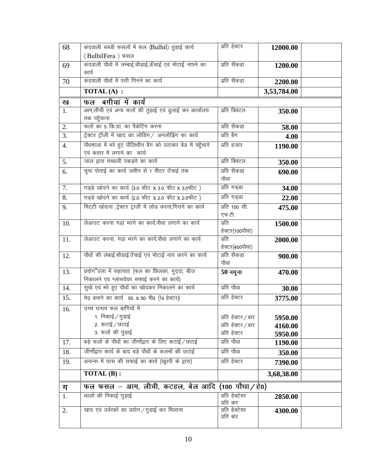| 68  | कंदवाली सब्जी फसलों में फल (Bulbil) तुड़ाई कार्य                     | प्रति हेक्टर                | 12000.00    |  |
|-----|----------------------------------------------------------------------|-----------------------------|-------------|--|
|     | (BulbilFera) फसल                                                     |                             |             |  |
| 69  | कंदवाली पौधों में लम्बाई,चौड़ाई,ऊँचाई एवं मोटाई नापने का             | प्रति सैंकड़ा               | 1200.00     |  |
|     | कार्य                                                                |                             |             |  |
| 70  | कंदवाली पौधों में पत्ती गिनने का कार्य                               | प्रति सैकड़ा                | 2200.00     |  |
|     | <b>TOTAL (A) :</b>                                                   |                             | 3,53,784.00 |  |
| ख   | फल बगीचां में कार्य                                                  |                             |             |  |
| 1.  | आम,लीची एवं अन्य फलों की तुड़ाई एवं ढुलाई कर कार्यालय<br>तक पहुँचाना | प्रति क्विंटल               | 350.00      |  |
| 2.  | फलों का 5 कि.ग्रा. का पैकेटिंग करना                                  | प्रति सैकडा                 | 58.00       |  |
| 3.  | ट्रेक्टर ट्रौली में खाद का लोडिंग/ अनलोड़िंग का कार्य                | प्रति बैग                   | 4.00        |  |
| 4.  | पौधषाला में भरे हुए पौलिथीन बैग को उठाकर बेड में पहुँचाने            | प्रति हजार                  | 1190.00     |  |
|     | एवं कतार में लगाने का कार्य                                          |                             |             |  |
| 5.  | जाल द्वारा मच्छली पकड़ने का कार्य                                    | प्रति क्विंटल               | 350.00      |  |
| 6.  | चुना पोताई का कार्य जमीन से 1 मीटर उँचाई तक                          | प्रति सैकडा                 | 690.00      |  |
|     |                                                                      | पौधा                        |             |  |
| 7.  | गड़्डे खोदने का कार्य (3.0 फीट x 3.0 फीट x 3.0फीट)                   | प्रति गड्डा                 | 34.00       |  |
| 8.  | गड़डे खोदने का कार्य (2.0 फीट x 2.0 फीट x 2.0फीट)                    | प्रति गड्डा                 | 22.00       |  |
| 9.  | मिट्टी खोदना ,ट्रेक्टर ट्राली में लोड करना,गिराने का कार्य           | प्रति 100 सी.               | 475.00      |  |
|     |                                                                      | एफ.टी.                      |             |  |
| 10. | लेआउट करना गढ़ा भरने का कार्य,पौधा लगाने का कार्य                    | प्रति                       | 1500.00     |  |
|     |                                                                      | हेक्टर(100पौधा)<br>प्रति    |             |  |
| 11. | लेआउट करना, गढ़ा भरने का कार्य,पौधा लगाने का कार्य                   | हेक्टर(400पौधा)             | 2000.00     |  |
| 12. | पौधों की लंबाई,चौड़ाई,उँचाई एवं मोटाई नाप करने का कार्य              | प्रति सैकडा़                | 900.00      |  |
|     |                                                                      | पौधा                        |             |  |
| 13. | प्रयोग"ाला में सहायता (फल का छिलका, गुद्दा, बीज                      | $50$ नमूना                  | 470.00      |  |
|     | निकालने एवं ग्लासवेयर सफाई करने का कार्य)                            |                             |             |  |
| 14. | सुखे एवं मरे हुए पौधों का खोदकर निकालने का कार्य                     | प्रति पौधा                  | 30.00       |  |
| 15. | मेढ़ बनाने का कार्य 50 x 50 मी0 (1/4 हेक्टर)                         | प्रति हेक्टर                | 3775.00     |  |
| 16. | उच्च घनत्व फल बागिचों में                                            |                             |             |  |
|     | 1. निकाई ∕ गुड़ाई                                                    | प्रति हेक्टर/बार            | 5950.00     |  |
|     | 2. कटांई / छंटाई                                                     | प्रति हेक्टर / बार          | 4160.00     |  |
|     | 3. फलों की तुड़ाई                                                    | प्रति हेक्टर                | 5950.00     |  |
| 17. | बड़े फलों के पौधों का जीर्णोद्वार के लिए कटाई / छंटाई                | प्रति पौधा                  | 1190.00     |  |
| 18. | जीर्णोद्वार कार्य के बाद बड़े पौधों के कलमों की छटाई                 | प्रति पौधा                  | 350.00      |  |
| 19. | अनान्स में घास की सफाई का कार्य (खुरपी के द्वारा)                    | प्रति हेक्टर                | 7390.00     |  |
|     | TOTAL (B):                                                           |                             | 3,68,38.00  |  |
| ग   | फल फसल – आम, लीची, कटहल, बेल आदि (100 पौधा/हे0)                      |                             |             |  |
| 1.  | थालों की निकाई गुड़ाई                                                | प्रति हेक्टेयर              | 2850.00     |  |
|     |                                                                      | प्रति बार                   |             |  |
| 2.  | खाद एवं उर्वरकों का प्रयोग / गुड़ाई कर मिलाना                        | प्रति हेक्टेयर<br>प्रति बार | 4300.00     |  |
|     |                                                                      |                             |             |  |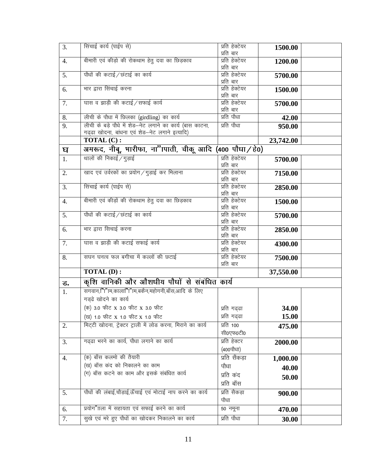| 3.               | सिंचाई कार्य (पाईप से)                                      | प्रति हेक्टेयर              | 1500.00   |  |
|------------------|-------------------------------------------------------------|-----------------------------|-----------|--|
|                  |                                                             | प्रति बार                   |           |  |
| $\overline{4}$ . | बीमारी एवं कीड़ो की रोकथाम हेतु दवा का छिड़काव              | प्रति हेक्टेयर<br>प्रति बार | 1200.00   |  |
|                  | पौधों की कटाई / छंटाई का कार्य                              | प्रति हेक्टेयर              |           |  |
| 5.               |                                                             | प्रति बार                   | 5700.00   |  |
| 6.               | भार द्वारा सिंचाई करना                                      | प्रति हेक्टेयर              |           |  |
|                  |                                                             | प्रति बार                   | 1500.00   |  |
| 7.               | घास व झाड़ी की कटाई / सफाई कार्य                            | प्रति हेक्टेयर              | 5700.00   |  |
|                  |                                                             | प्रति बार                   |           |  |
| 8.               | लीची के पौधा में छिलका (girdling) का कार्य                  | प्रति पौधा                  | 42.00     |  |
| 9.               | लीची के बड़े पौधे में शेड-नेट लगाने का कार्य (बास काटना,    | प्रति पौधा                  | 950.00    |  |
|                  | गढ़ढा खोदना, बांधना एवं शेड-नेट लगाने इत्यादि)              |                             |           |  |
|                  | <b>TOTAL (C):</b>                                           |                             | 23,742.00 |  |
| घ                | अमरूद, नीबू, भारीफा, ना"ापाती, चीकू आदि (400 पौधा/हे0)      |                             |           |  |
|                  | थालों की निकाई / गुड़ाई                                     | प्रति हेक्टेयर              |           |  |
| 1.               |                                                             | प्रति बार                   | 5700.00   |  |
| 2.               | खाद एवं उर्वरकों का प्रयोग / गुड़ाई कर मिलाना               | प्रति हेक्टेयर              | 7150.00   |  |
|                  |                                                             | प्रति बार                   |           |  |
| 3.               | सिंचाई कार्य (पाईप से)                                      | प्रति हेक्टेयर              | 2850.00   |  |
|                  |                                                             | प्रति बार                   |           |  |
| 4.               | बीमारी एवं कीड़ों की रोकथाम हेतु दवा का छिड़काव             | प्रति हेक्टेयर              | 1500.00   |  |
|                  |                                                             | प्रति बार                   |           |  |
| 5.               | पौधों की कटाई / छंटाई का कार्य                              | प्रति हेक्टेयर              | 5700.00   |  |
|                  |                                                             | प्रति बार                   |           |  |
| 6.               | भार द्वारा सिचाई करना                                       | प्रति हेक्टेयर              | 2850.00   |  |
|                  |                                                             | प्रति बार                   |           |  |
| 7.               | घास व झाड़ी की कटाई सफाई कार्य                              | प्रति हेक्टेयर<br>प्रति बार | 4300.00   |  |
| 8.               | सघन घनत्व फल बगीचा में कल्लों की छटाई                       | प्रति हेक्टेयर              |           |  |
|                  |                                                             | प्रति बार                   | 7500.00   |  |
|                  | <b>TOTAL (D):</b>                                           |                             | 37,550.00 |  |
| ड.               | कृशि वानिकी और औशधीय पौधों से संबंधित कार्य                 |                             |           |  |
| 1.               | सगवान,"ां"।म,काला'"ां"।म,बकैन,महोगनी,बाँस,आदि के लिए        |                             |           |  |
|                  | गड़ढे खोदने का कार्य                                        |                             |           |  |
|                  | (क) 3.0 फीट x 3.0 फीट x 3.0 फीट                             | प्रति गढ़ढा                 | 34.00     |  |
|                  | (ख) 1.0 फीट x 1.0 फीट x 1.0 फीट                             | प्रति गढ्ढा                 | 15.00     |  |
| 2.               | मिट्टी खोदना, ट्रेक्टर ट्राली में लोड करना, मिराने का कार्य | प्रति 100                   | 475.00    |  |
|                  |                                                             | सी0एफ0टी0                   |           |  |
| 3.               | गढढा भरने का कार्य, पौधा लगाने का कार्य                     | प्रति हेक्टर                |           |  |
|                  |                                                             | (400पौधा)                   | 2000.00   |  |
|                  |                                                             |                             |           |  |
| 4.               | (क) बाँस कलमो की तैयारी                                     | प्रति सैंकडा                | 1,000.00  |  |
|                  | (ख) बाँस कंद को निकालने का काम                              | पौधा                        | 40.00     |  |
|                  | (ग) बाँस कटने का काम और इसके संबंधित कार्य                  | प्रति कंद                   | 50.00     |  |
|                  |                                                             | प्रति बाँस                  |           |  |
| 5.               | पौधों की लंबाई,चौड़ाई,ऊँचाई एवं मोटाई नाप करने का कार्य     | प्रति सैकड़ा                | 900.00    |  |
|                  |                                                             | पौधा                        |           |  |
| 6.               | प्रयोग"ाला में सहायता एवं सफाई करने का कार्य                | 50 नमूना                    | 470.00    |  |
| 7.               | सुखे एवं मरे हुए पौधों का खोदकर निकालने का कार्य            | प्रति पौधा                  |           |  |
|                  |                                                             |                             | 30.00     |  |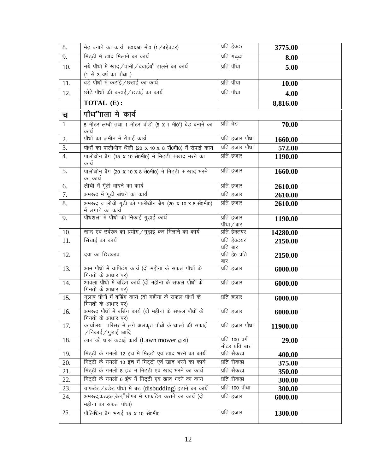| 8.               | मेढ़ बनाने का कार्य 50X50 मी0 (1/4हेक्टर)                                                                        | प्रति हेक्टर                     | 3775.00  |  |
|------------------|------------------------------------------------------------------------------------------------------------------|----------------------------------|----------|--|
| 9.               | मिट्टी में खाद मिलाने का कार्य                                                                                   | प्रति गढ्ढा                      | 8.00     |  |
| 10.              | नये पौधों में खाद/पानी/दवाईयाँ ढालने का कार्य<br>(1 से 3 वर्ष का पौधा)                                           | प्रति पौधा                       | 5.00     |  |
| 11.              | बड़े पौधों में कटाई/छटाई का कार्य                                                                                | प्रति पौधा                       | 10.00    |  |
| 12.              | छोटे पौधों की कटाई/छटाई का कार्य                                                                                 | प्रति पौधा                       | 4.00     |  |
|                  | TOTAL (E):                                                                                                       |                                  | 8,816.00 |  |
| च                | पौध"गला में कार्य                                                                                                |                                  |          |  |
| $\mathbf{1}$     | 5 मीटर लम्बी तथा 1 मीटर चौडी (5 x 1 मी0 <sup>2</sup> ) बेड बनाने का<br>कार्य                                     | प्रति बेड                        | 70.00    |  |
| 2.               | पौधों का जमीन में रोपाई कार्य                                                                                    | प्रति हजार पौधा                  | 1660.00  |  |
| $\overline{3}$ . | पौधों का पालीथीन थैली (20 x 10 x 8 सें0मी0) में रोपाई कार्य                                                      | प्रति हजार पौधा                  | 572.00   |  |
| 4.               | पालीथीन बैग (15 x 10 सें0मी0) में मिट्टी +खाद भरने का<br>कार्य                                                   | प्रति हजार                       | 1190.00  |  |
| 5.               | पालीथीन बैग (20 x 10 x 8 सें0मी0) में मिट्टी + खाद भरने<br>का कार्य                                              | प्रति हजार                       | 1660.00  |  |
| 6.               | लीची में गूँटी बांधने का कार्य                                                                                   | प्रति हजार                       | 2610.00  |  |
| 7.               | अमरूद में गूटी बांधने का कार्य                                                                                   | प्रति हजार                       | 2610.00  |  |
| 8.               | अमरूद व लीची गूटी को पालीथीन बैग (20 x 10 x 8 सें0मी0)<br>में लगाने का कार्य                                     | प्रति हजार                       | 2610.00  |  |
| 9.               | पौधशला में पौधों की निकाई गुड़ाई कार्य                                                                           | प्रति हजार<br>पौधा / बार         | 1190.00  |  |
| 10.              | खाद एवं उर्वरक का प्रयोग / गुड़ाई कर मिलाने का कार्य                                                             | प्रति हेक्टयर                    | 14280.00 |  |
| 11.              | सिंचाई का कार्य                                                                                                  | प्रति हेक्टयर<br>प्रति बार       | 2150.00  |  |
| 12.              | दवा का छिड़काव                                                                                                   | प्रति हे0 प्रति<br>बार           | 2150.00  |  |
| 13.              | आम पौधों में ग्राफिटंग कार्य (दो महीना के सफल पौधों के<br>गिनती के आधार पर)                                      | प्रति हजार                       | 6000.00  |  |
| 14.              | आंवला पौधों में बडिंग कार्य (दो महीना के सफल पौधों के<br>गिनती के आधार पर)                                       | प्रति हजार                       | 6000.00  |  |
| 15.              | गुलाब पौधों में बडिंग कार्य (दो महीना के सफल पौधों के<br>गिनती के आधार पर)                                       | प्रति हजार                       | 6000.00  |  |
| 16.              | अमरूद पौधों में बडिंग कार्य (दो महीना के सफल पौधों के<br>गिनती के आधार पर)                                       | प्रति हजार                       | 6000.00  |  |
| 17.              | कार्यालय परिसर में लगे अलंकृत पौधों के थालों की सफाई<br>/निकाई/गुड़ाई आदि                                        | प्रति हजार पौधा                  | 11900.00 |  |
| 18.              | लान की धास कटाई कार्य (Lawn mower द्वारा)                                                                        | प्रति 100 वर्ग<br>मीटर प्रति बार | 29.00    |  |
| 19.              | मिट्टी के गमलों 12 इंच में मिट्टी एवं खाद भरने का कार्य                                                          | प्रति सैकड़ा                     | 400.00   |  |
| 20.              | मिट्टी के गमलों 10 इंच में मिट्टी एवं खाद भरने का कार्य                                                          | प्रति सैकड़ा                     | 375.00   |  |
| 21.              | मिट्टी के गमलों 8 इंच में मिट्टी एवं खाद भरने का कार्य<br>मिट्टी के गमलों 6 इंच में मिट्टी एवं खाद भरने का कार्य | प्रति सैकड़ा<br>प्रति सैकड़ा     | 350.00   |  |
| 22.              |                                                                                                                  | प्रति 100 पौधा                   | 300.00   |  |
| 23.              | ग्राफटेड/बडेड पौधों में बड (disbudding) हटाने का कार्य<br>अमरूद,कटहल,बेल,"रिफा में ग्राफटिंग कराने का कार्य (दो  | प्रति हजार                       | 300.00   |  |
| 24.              | महीना का सफल पौधा)                                                                                               |                                  | 6000.00  |  |
| 25.              | पौलिथिन बैग भराई 15 x 10 सें0मी0                                                                                 | प्रति हजार                       | 1300.00  |  |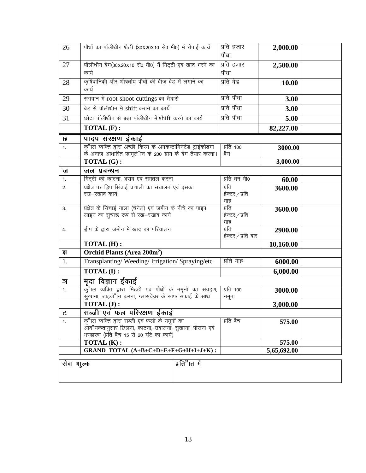| 26          | पौधों का पॉलीथीन थैली (30x20x10 से0 मी0) में रोपाई कार्य                                                        | प्रति हजार            | 2,000.00    |  |
|-------------|-----------------------------------------------------------------------------------------------------------------|-----------------------|-------------|--|
|             |                                                                                                                 | पौधा                  |             |  |
| 27          | पॉलीथीन बैग(30x20x10 से0 मी0) में मिट्टी एवं खाद भरने का                                                        | प्रति हजार            | 2,500.00    |  |
|             | कार्य                                                                                                           | पौधा                  |             |  |
| 28          | कृषिवानिकी और औषधीय पौधों की बीज बेड में लगाने का<br>कार्य                                                      | प्रति बेड             | 10.00       |  |
| 29          | सगवान में root-shoot-cuttings का तैयारी                                                                         | प्रति पौधा            | 3.00        |  |
| 30          | बेड से पॉलीथीन में shift कराने का कार्य                                                                         | प्रति पौधा            | 3.00        |  |
| 31          | छोटा पॉलीथीन से बड़ा पॉलीथीन में shift करने का कार्य                                                            | प्रति पौधा            | 5.00        |  |
|             | TOTAL (F):                                                                                                      |                       | 82,227.00   |  |
| छ           | पादप सरक्षण ईकाई                                                                                                |                       |             |  |
| 1.          | क्"ाल व्यक्ति द्वारा अच्छी किस्म के अनकन्टामिनेटेड ट्राईकोडर्मा                                                 | प्रति 100             | 3000.00     |  |
|             | के अनाज आधारित फामूले"ान के 200 ग्राम के बैग तैयार करना।                                                        | बैग                   |             |  |
|             | TOTAL (G):<br>जल प्रबन्धन                                                                                       |                       | 3,000.00    |  |
| ज<br>1.     | मिट्टी को काटना, भराव एवं समतल करना                                                                             | प्रति धन मी0          |             |  |
| 2.          | प्रक्षेत्र पर ड्रिप सिंचाई प्रणाली का संचालन एवं इसका                                                           | प्रति                 | 60.00       |  |
|             | रख–रखाव कार्य                                                                                                   | हेक्टर / प्रति        | 3600.00     |  |
|             |                                                                                                                 | माह                   |             |  |
| 3.          | प्रक्षेत्र के सिंचाई नाला (चैनेल) एवं जमीन के नीचे का पाइप                                                      | प्रति                 | 3600.00     |  |
|             | लाइन का सुचारू रूप से रख–रखाव कार्य                                                                             | हेक्टर / प्रति<br>माह |             |  |
| 4.          | ड्रीप के द्वारा जमीन में खाद का परिचालन                                                                         | प्रति                 | 2900.00     |  |
|             |                                                                                                                 | हेक्टर/प्रति बार      |             |  |
|             | <b>TOTAL (H):</b>                                                                                               |                       | 10,160.00   |  |
| झ           | Orchid Plants (Area 200m <sup>2</sup> )                                                                         |                       |             |  |
| 1.          | Transplanting/Weeding/Irrigation/Spraying/etc                                                                   | प्रति माह             | 6000.00     |  |
|             | <b>TOTAL (I):</b>                                                                                               |                       | 6,000.00    |  |
| ञ           | मुदा विज्ञान ईकाई                                                                                               |                       |             |  |
| 1.          | कुँ"ाल व्यक्ति द्वारा मिटटी एवं पौधों के नमूनों का संग्रहण,                                                     | प्रति 100             | 3000.00     |  |
|             | सुखाना, डाइजे"ान करना, ग्लासवेयर के साफ सफाई के साथ                                                             | नमूना                 |             |  |
|             | TOTAL (J):                                                                                                      |                       | 3,000.00    |  |
| ट           | सब्जी एवं फल परिरक्षण ईकाई                                                                                      |                       |             |  |
| 1.          | <u>कु"ाल व्यक्ति द्वारा सब्जी एवं फलों के नमूनों का</u><br>आव"यकतानुसार छिलना, काटना, उबालना, सुखाना, पीसना एवं | प्रति बैच             | 575.00      |  |
|             | भण्डारण (प्रति बैच 15 से 20 घंटे का कार्य)                                                                      |                       |             |  |
|             | $\overline{\text{TOTAL}(K)}$ :                                                                                  |                       | 575.00      |  |
|             | GRAND TOTAL $(A+B+C+D+E+F+G+H+I+J+K)$ :                                                                         |                       | 5,65,692.00 |  |
| सेवा भाूल्क | प्रति"ात में                                                                                                    |                       |             |  |
|             |                                                                                                                 |                       |             |  |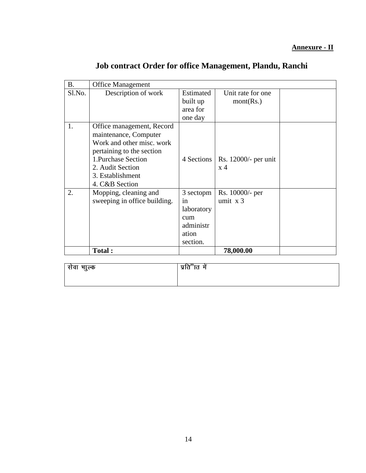| <b>B.</b> | <b>Office Management</b>     |            |                      |  |
|-----------|------------------------------|------------|----------------------|--|
| Sl.No.    | Description of work          | Estimated  | Unit rate for one    |  |
|           |                              | built up   | mont(Rs.)            |  |
|           |                              | area for   |                      |  |
|           |                              | one day    |                      |  |
| 1.        | Office management, Record    |            |                      |  |
|           | maintenance, Computer        |            |                      |  |
|           | Work and other misc. work    |            |                      |  |
|           | pertaining to the section    |            |                      |  |
|           | 1. Purchase Section          | 4 Sections | Rs. 12000/- per unit |  |
|           | 2. Audit Section             |            | $\rm x$ 4            |  |
|           | 3. Establishment             |            |                      |  |
|           | 4. C&B Section               |            |                      |  |
| 2.        | Mopping, cleaning and        | 3 sectopm  | Rs. 10000/- per      |  |
|           | sweeping in office building. | in         | umit $x$ 3           |  |
|           |                              | laboratory |                      |  |
|           |                              | cum        |                      |  |
|           |                              | administr  |                      |  |
|           |                              | ation      |                      |  |
|           |                              | section.   |                      |  |
|           | Total:                       |            | 78,000.00            |  |

# **Job contract Order for office Management, Plandu, Ranchi**

| सेवा भाुल्क | प्रति"ात<br>ਸ |
|-------------|---------------|
|             |               |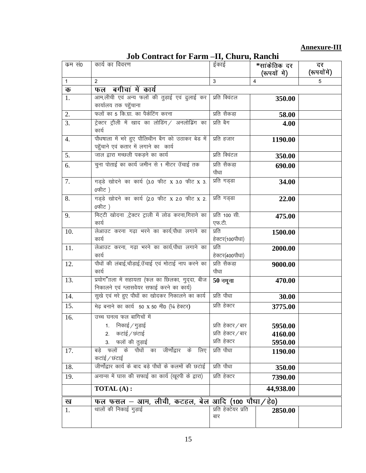# **Annexure-III**

| Job Contract for Farm -II, Churu, Ranchi |  |  |
|------------------------------------------|--|--|
|                                          |  |  |

| कम सं0 | कार्य का विवरण                                                                               | ईकाई                                                     | *सांकेतिक दर<br>(रूपयों में)  | दर<br>(रूपयोंमें) |
|--------|----------------------------------------------------------------------------------------------|----------------------------------------------------------|-------------------------------|-------------------|
| 1      | 2                                                                                            | 3                                                        | 4                             | 5                 |
| क      | फल बगीचां में कार्य                                                                          |                                                          |                               |                   |
| 1.     | आम,लीची एवं अन्य फलों की तुड़ाई एवं ढुलाई कर<br>कार्यालय तक पहुँचाना                         | प्रति क्विंटल                                            | 350.00                        |                   |
| 2.     | फलों का 5 कि.ग्रा. का पैकेटिंग करना                                                          | प्रति सैकडा                                              | 58.00                         |                   |
| 3.     | ट्रेक्टर ट्रौली में खाद का लोडिंग/ अनलोड़िंग का<br>कार्य                                     | प्रति बैग                                                | 4.00                          |                   |
| 4.     | पौधषाला में भरे हुए पौलिथीन बैग को उठाकर बेड में<br>पहुँचाने एवं कतार में लगाने का कार्य     | प्रति हजार                                               | 1190.00                       |                   |
| 5.     | जाल द्वारा मच्छली पकड़ने का कार्य                                                            | प्रति क्विंटल                                            | 350.00                        |                   |
| 6.     | चुना पोताई का कार्य जमीन से 1 मीटर उँचाई तक                                                  | प्रति सैकडा<br>पौधा                                      | 690.00                        |                   |
| 7.     | गड्डे खोदने का कार्य (3.0 फीट x 3.0 फीट x 3.<br>0फीਟ)                                        | प्रति गड्डा                                              | 34.00                         |                   |
| 8.     | गड़डे खोदने का कार्य (2.0 फीट x 2.0 फीट x 2.<br>0फीਟ )                                       | प्रति गड्डा                                              | 22.00                         |                   |
| 9.     | मिट्टी खोदना ,ट्रेक्टर ट्राली में लोड करना,गिराने का<br>कार्य                                | प्रति 100 सी.<br>एफ.टी.                                  | 475.00                        |                   |
| 10.    | लेआउट करना गढ़ा भरने का कार्य,पौधा लगाने का<br>कार्य                                         | प्रति<br>हेक्टर(100पौधा)                                 | 1500.00                       |                   |
| 11.    | लेआउट करना, गढ़ा भरने का कार्य,पौधा लगाने का<br>कार्य                                        | प्रति<br>हेक्टर(400पौधा)                                 | 2000.00                       |                   |
| 12.    | पौधों की लंबाई,चौड़ाई,उँचाई एवं मोटाई नाप करने का<br>कार्य                                   | प्रति सैकडा़<br>पौधा                                     | 9000.00                       |                   |
| 13.    | प्रयोग"ाला में सहायता (फल का छिलका, गुद्दा, बीज<br>निकालने एवं ग्लासवेयर सफाई करने का कार्य) | $50$ नमूना                                               | 470.00                        |                   |
| 14.    | सुखे एवं मरे हुए पौधों का खोदकर निकालने का कार्य                                             | प्रति पौधा                                               | 30.00                         |                   |
| 15.    | मेढ़ बनाने का कार्य 50 x 50 मी0 (1/4 हेक्टर)                                                 | प्रति हेक्टर                                             | 3775.00                       |                   |
| 16.    | उच्च घनत्व फल बागिचों में<br>1. निकाई ∕ गुड़ाई<br>2. कटाई / छंटाई<br>3. फलों की तुड़ाई       | प्रति हेक्टर ∕ बार<br>प्रति हेक्टर ∕ बार<br>प्रति हेक्टर | 5950.00<br>4160.00<br>5950.00 |                   |
| 17.    | फलों के पौधों का जीर्णोद्वार के लिए<br>बडे<br>कटाई / छंटाई                                   | प्रति पौधा                                               | 1190.00                       |                   |
| 18.    | जीर्णोद्वार कार्य के बाद बड़े पौधों के कलमों की छटाई                                         | प्रति पौधा                                               | 350.00                        |                   |
| 19.    | अनान्स में घास की सफाई का कार्य (खूरपी के द्वारा)                                            | प्रति हेक्टर                                             | 7390.00                       |                   |
|        | TOTAL (A):                                                                                   |                                                          | 44,938.00                     |                   |
| ख      | फल फसल – आम, लीची, कटहल, बेल आदि (100 पौधा/हे0)                                              |                                                          |                               |                   |
| 1.     | थालों की निकाई गुड़ाई                                                                        | प्रति हेक्टेयर प्रति<br>बार                              | 2850.00                       |                   |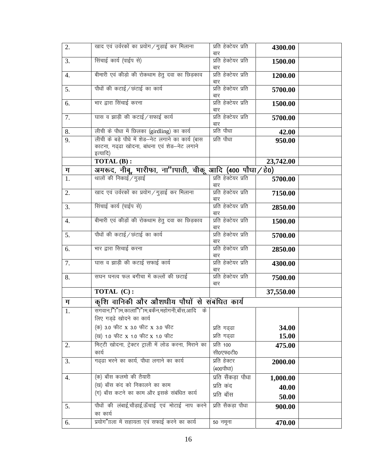| 2. | खाद एवं उर्वरकों का प्रयोग / गुड़ाई कर मिलाना            | प्रति हेक्टेयर प्रति<br>बार | 4300.00   |  |
|----|----------------------------------------------------------|-----------------------------|-----------|--|
| 3. | सिंचाई कार्य (पाईप से)                                   | प्रति हेक्टेयर प्रति        | 1500.00   |  |
|    |                                                          | बार<br>प्रति हेक्टेयर प्रति |           |  |
| 4. | बीमारी एवं कीड़ो की रोकथाम हेतु दवा का छिड़काव           | बार                         | 1200.00   |  |
| 5. | पौधों की कटाई / छंटाई का कार्य                           | प्रति हेक्टेयर प्रति        | 5700.00   |  |
|    |                                                          | बार                         |           |  |
| 6. | भार द्वारा सिंचाई करना                                   | प्रति हेक्टेयर प्रति<br>बार | 1500.00   |  |
| 7. | घास व झाड़ी की कटाई / सफाई कार्य                         | प्रति हेक्टेयर प्रति        | 5700.00   |  |
|    |                                                          | बार                         |           |  |
| 8. | लीची के पौधा में छिलका (girdling) का कार्य               | प्रति पौधा                  | 42.00     |  |
| 9. | लीची के बड़े पौधे में शेड–नेट लगाने का कार्य (बास        | प्रति पौधा                  | 950.00    |  |
|    | काटना, गढ़ढा खोदना, बांधना एवं शेड-नेट लगाने             |                             |           |  |
|    | इत्यादि)                                                 |                             |           |  |
|    | TOTAL (B):                                               |                             | 23,742.00 |  |
| ग  | अमरूद, नीबू, भारीफा, ना"ापाती, चीकू आदि (400 पौधा ⁄ हे0) |                             |           |  |
| 1. | थालों की निकाई / गुड़ाई                                  | प्रति हेक्टेयर प्रति<br>बार | 5700.00   |  |
| 2. | खाद एवं उर्वरकों का प्रयोग / गुड़ाई कर मिलाना            | प्रति हेक्टेयर प्रति        | 7150.00   |  |
|    |                                                          | बार                         |           |  |
| 3. | सिंचाई कार्य (पाईप से)                                   | प्रति हेक्टेयर प्रति        | 2850.00   |  |
|    |                                                          | बार                         |           |  |
| 4. | बीमारी एवं कीड़ों की रोकथाम हेतु दवा का छिड़काव          | प्रति हेक्टेयर प्रति        | 1500.00   |  |
| 5. | पौधों की कटाई / छंटाई का कार्य                           | बार<br>प्रति हेक्टेयर प्रति | 5700.00   |  |
|    |                                                          | बार                         |           |  |
| 6. | भार द्वारा सिचाई करना                                    | प्रति हेक्टेयर प्रति        | 2850.00   |  |
|    |                                                          | बार                         |           |  |
| 7. | घास व झाड़ी की कटाई सफाई कार्य                           | प्रति हेक्टेयर प्रति        | 4300.00   |  |
| 8. | सघन घनत्व फल बगीचा में कल्लों की छटाई                    | बार<br>प्रति हेक्टेयर प्रति | 7500.00   |  |
|    |                                                          | बार                         |           |  |
|    | TOTAL (C):                                               |                             | 37,550.00 |  |
| ग  | कृशि वानिकी और औशधीय पौधों से संबंधित कार्य              |                             |           |  |
| 1. | सगवान,"ािंग,काला"ां"।म,बकेन,महोगनी,बॉस,आदि के            |                             |           |  |
|    | लिए गड्ढे खोदने का कार्य                                 |                             |           |  |
|    | (क) 3.0 फीट x 3.0 फीट x 3.0 फीट                          | प्रति गढ़ढा                 | 34.00     |  |
|    | (ख) 1.0 फीਟ x 1.0 फीट x 1.0 फीट                          | प्रति गढ्ढा                 | 15.00     |  |
| 2. | मिट्टी खोदना, ट्रेक्टर ट्राली में लोड करना, मिराने का    | प्रति 100                   | 475.00    |  |
|    | कार्य                                                    | सी0एफ0टी0                   |           |  |
| 3. | गढ़ढा भरने का कार्य, पौधा लगाने का कार्य                 | प्रति हेक्टर                | 2000.00   |  |
|    |                                                          | (400पौधा)                   |           |  |
| 4. | (क) बाँस कलमो की तैयारी                                  | प्रति सैंकडा पौधा           | 1,000.00  |  |
|    | (ख) बाँस कंद को निकालने का काम                           | प्रति कंद                   | 40.00     |  |
|    | (ग) बाँस कटने का काम और इसके संबंधित कार्य               | प्रति बाँस                  | 50.00     |  |
| 5. | पौधों की लंबाई,चौड़ाई,ऊँचाई एवं मोटाई नाप करने           | प्रति सैकड़ा पौधा           | 900.00    |  |
|    | का कार्य                                                 |                             |           |  |
| 6. | प्रयोग"ाला में सहायता एवं सफाई करने का कार्य             | 50 नमूना                    | 470.00    |  |
|    |                                                          |                             |           |  |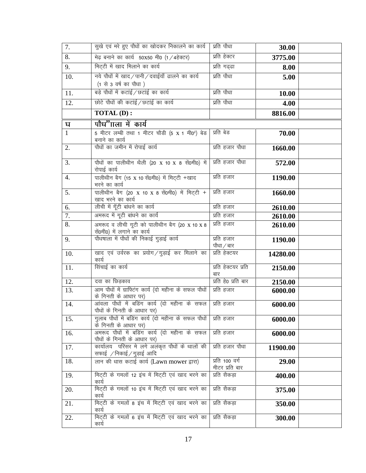| 7.           | सुखे एवं मरे हुए पौधों का खोदकर निकालने का कार्य                                  | प्रति पौधा                       | 30.00    |  |
|--------------|-----------------------------------------------------------------------------------|----------------------------------|----------|--|
| 8.           | मेढ़ बनाने का कार्य 50X50 मी0 (1 / 4हेक्टर)                                       | प्रति हेक्टर                     | 3775.00  |  |
| 9.           | मिट्टी में खाद मिलाने का कार्य                                                    | प्रति गढ्ढा                      | 8.00     |  |
| 10.          | नये पौधों में खाद/पानी/दवाईयाँ ढालने का कार्य                                     | प्रति पौधा                       | 5.00     |  |
|              | (1 से 3 वर्ष का पौधा)                                                             |                                  |          |  |
| 11.          | बड़े पौधों में कटाई/छटाई का कार्य                                                 | प्रति पौधा                       | 10.00    |  |
| 12.          | छोटे पौधों की कटाई/छटाई का कार्य                                                  | प्रति पौधा                       | 4.00     |  |
|              | <b>TOTAL (D):</b>                                                                 |                                  | 8816.00  |  |
| घ            | पौध"गला में कार्य                                                                 |                                  |          |  |
| $\mathbf{1}$ | 5 मीटर लम्बी तथा 1 मीटर चौडी (5 x 1 मी0 <sup>2</sup> ) बेड<br>बनाने का कार्य      | प्रति बेड                        | 70.00    |  |
| 2.           | पौधों का जमीन में रोपाई कार्य                                                     | प्रति हजार पौधा                  | 1660.00  |  |
| 3.           | पौधों का पालीथीन थैली (20 x 10 x 8 सें0मी0) में<br>रोपाई कार्य                    | प्रति हजार पौधा                  | 572.00   |  |
| 4.           | पालीथीन बैग (15 x 10 सें0मी0) में मिट्टी +खाद<br>भरने का कार्य                    | प्रति हजार                       | 1190.00  |  |
| 5.           | पालीथीन बैग (20 x 10 x 8 सें0मी0) में मिट्टी +<br>खाद भरने का कार्य               | प्रति हजार                       | 1660.00  |  |
| 6.           | लीची में गूँटी बांधने का कार्य                                                    | प्रति हजार                       | 2610.00  |  |
| 7.           | अमरूद में गूटी बांधने का कार्य                                                    | प्रति हजार                       | 2610.00  |  |
| 8.           | .<br>अमरूद व लीची गूटी को पालीथीन बैग (20 x 10 x 8<br>सें0मी0) में लगाने का कार्य | प्रति हजार                       | 2610.00  |  |
| 9.           | पौधषाला में पौधों की निकाई गुड़ाई कार्य                                           | प्रति हजार<br>पौधा / बार         | 1190.00  |  |
| 10.          | खाद एवं उर्वरक का प्रयोग/गुड़ाई कर मिलाने का<br>कार्य                             | प्रति हेक्टयर                    | 14280.00 |  |
| 11.          | सिंचाई का कार्य                                                                   | प्रति हेक्टयर प्रति<br>बार       | 2150.00  |  |
| 12.          | दवा का छिड़काव                                                                    | प्रति हे0 प्रति बार              | 2150.00  |  |
| 13.          | आम पौधों में ग्राफ्टिंग कार्य (दो महीना के सफल पौधों  <br>के गिनती के आधार पर)    | प्रति हजार                       | 6000.00  |  |
| 14.          | आंवला पौधों में बडिंग कार्य (दो महीना के सफल<br>पौधों के गिनती के आधार पर)        | प्रति हजार                       | 6000.00  |  |
| 15.          | गुलाब पौधों में बडिंग कार्य (दो महीना के सफल पौधों<br>के गिनती के आधार पर)        | प्रति हजार                       | 6000.00  |  |
| 16.          | अमरूद पौधों में बडिंग कार्य (दो महीना के सफल<br>पौधों के गिनती के आधार पर)        | प्रति हजार                       | 6000.00  |  |
| 17.          | कार्यालय परिसर मे लगे अलंकृत पौधों के थालों की<br>सफाई /निकाई/गुड़ाई आदि          | प्रति हजार पौधा                  | 11900.00 |  |
| 18.          | लान की धास कटाई कार्य (Lawn mower द्वारा)                                         | प्रति 100 वर्ग<br>मीटर प्रति बार | 29.00    |  |
| 19.          | मिट्टी के गमलों 12 इंच में मिट्टी एवं खाद भरने का<br>कार्य                        | प्रति सैकड़ा                     | 400.00   |  |
| 20.          | मिट्टी के गमलों 10 इंच में मिट्टी एवं खाद भरने का<br>कार्य                        | प्रति सैकड़ा                     | 375.00   |  |
| 21.          | मिट्टी के गमलों 8 इंच में मिट्टी एवं खाद भरने का<br>कार्य                         | प्रति सैकड़ा                     | 350.00   |  |
| 22.          | मिट्टी के गमलों 6 इंच में मिट्टी एवं खाद भरने का<br>कार्य                         | प्रति सैकड़ा                     | 300.00   |  |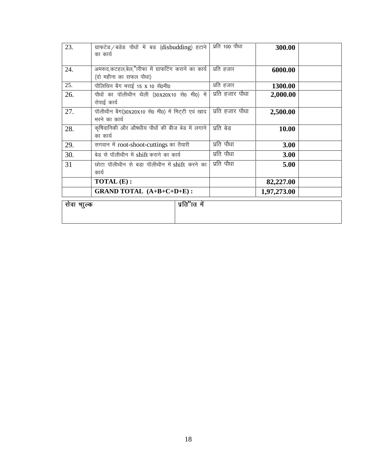| 23.                         | ग्राफटेड/बडेड पौधों में बड (disbudding) हटाने     | प्रति 100 पौधा  | 300.00      |  |
|-----------------------------|---------------------------------------------------|-----------------|-------------|--|
|                             | का कार्य                                          |                 |             |  |
|                             |                                                   |                 |             |  |
| 24.                         | अमरूद,कटहल,बेल,"रिफा में ग्राफटिंग कराने का कार्य | प्रति हजार      | 6000.00     |  |
|                             | (दो महीना का सफल पौधा)                            |                 |             |  |
| 25.                         | पौलिथिन बैग भराई 15 x 10 सें0मी0                  | प्रति हजार      | 1300.00     |  |
| 26.                         | पौधों का पॉलीथीन थैली (30X20X10 से0 मी0) में      | प्रति हजार पौधा | 2,000.00    |  |
|                             | रोपाई कार्य                                       |                 |             |  |
| 27.                         | पॉलीथीन बैग(30x20x10 से0 मी0) में मिट्टी एवं खाद  | प्रति हजार पौधा | 2,500.00    |  |
|                             | भरने का कार्य                                     |                 |             |  |
| 28.                         | कृषिवानिकी और औषधीय पौधों की बीज बेड में लगाने    | प्रति बेड       | 10.00       |  |
|                             | का कार्य                                          |                 |             |  |
| 29.                         | सगवान में root-shoot-cuttings का तैयारी           | प्रति पौधा      | 3.00        |  |
| 30.                         | बेड से पॉलीथीन में shift कराने का कार्य           | प्रति पौधा      | 3.00        |  |
| 31                          | छोटा पॉलीथीन से बड़ा पॉलीथीन में shift करने का    | प्रति पौधा      | 5.00        |  |
|                             | कार्य                                             |                 |             |  |
|                             | TOTAL (E):                                        |                 | 82,227.00   |  |
|                             | GRAND TOTAL (A+B+C+D+E):                          |                 | 1,97,273.00 |  |
| प्रति"ात में<br>सेवा भाुल्क |                                                   |                 |             |  |
|                             |                                                   |                 |             |  |
|                             |                                                   |                 |             |  |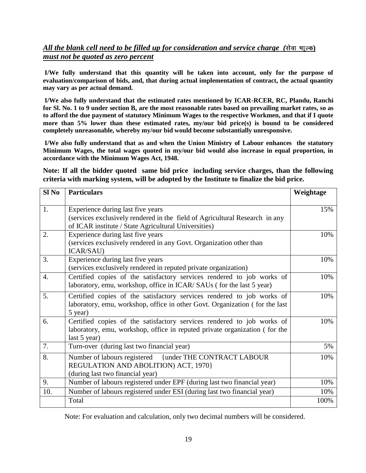# *All the blank cell need to be filled up for consideration and service charge (सेवा भाल्क) must not be quoted as zero percent*

**I/We fully understand that this quantity will be taken into account, only for the purpose of evaluation/comparison of bids, and, that during actual implementation of contract, the actual quantity may vary as per actual demand.**

**I/We also fully understand that the estimated rates mentioned by ICAR-RCER, RC, Plandu, Ranchi for Sl. No. 1 to 9 under section B, are the most reasonable rates based on prevailing market rates, so as to afford the due payment of statutory Minimum Wages to the respective Workmen, and that if I quote more than 5% lower than these estimated rates, my/our bid price(s) is bound to be considered completely unreasonable, whereby my/our bid would become substantially unresponsive.**

**I/We also fully understand that as and when the Union Ministry of Labour enhances the statutory Minimum Wages, the total wages quoted in my/our bid would also increase in equal proportion, in accordance with the Minimum Wages Act, 1948.**

**Note: If all the bidder quoted same bid price including service charges, than the following criteria with marking system, will be adopted by the Institute to finalize the bid price.**

| Sl <sub>No</sub> | <b>Particulars</b>                                                               | Weightage |
|------------------|----------------------------------------------------------------------------------|-----------|
| 1.               | Experience during last five years                                                | 15%       |
|                  | (services exclusively rendered in the field of Agricultural Research in any      |           |
|                  | of ICAR institute / State Agricultural Universities)                             |           |
| 2.               | Experience during last five years                                                | 10%       |
|                  | (services exclusively rendered in any Govt. Organization other than<br>ICAR/SAU) |           |
| 3.               | Experience during last five years                                                | 10%       |
|                  | (services exclusively rendered in reputed private organization)                  |           |
| 4.               | Certified copies of the satisfactory services rendered to job works of           | 10%       |
|                  | laboratory, emu, workshop, office in ICAR/SAUs (for the last 5 year)             |           |
| 5.               | Certified copies of the satisfactory services rendered to job works of           | 10%       |
|                  | laboratory, emu, workshop, office in other Govt. Organization (for the last      |           |
|                  | 5 year)                                                                          |           |
| 6.               | Certified copies of the satisfactory services rendered to job works of           | 10%       |
|                  | laboratory, emu, workshop, office in reputed private organization (for the       |           |
|                  | last 5 year)                                                                     |           |
| 7.               | Turn-over (during last two financial year)                                       | 5%        |
| 8.               | Number of labours registered<br><b>{under THE CONTRACT LABOUR</b>                | 10%       |
|                  | REGULATION AND ABOLITION) ACT, 1970}                                             |           |
|                  | (during last two financial year)                                                 |           |
| 9.               | Number of labours registered under EPF (during last two financial year)          | 10%       |
| 10.              | Number of labours registered under ESI (during last two financial year)          | 10%       |
|                  | Total                                                                            | 100%      |

Note: For evaluation and calculation, only two decimal numbers will be considered.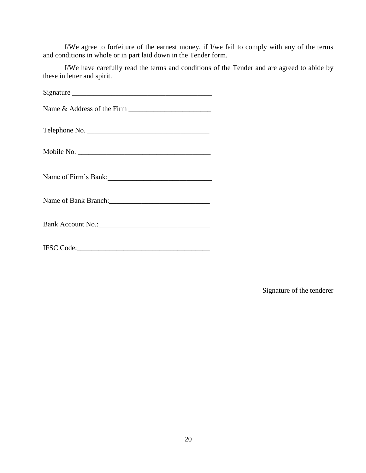I/We agree to forfeiture of the earnest money, if I/we fail to comply with any of the terms and conditions in whole or in part laid down in the Tender form.

I/We have carefully read the terms and conditions of the Tender and are agreed to abide by these in letter and spirit.

| Telephone No.                                          |  |  |
|--------------------------------------------------------|--|--|
|                                                        |  |  |
| Name of Firm's Bank:                                   |  |  |
| Name of Bank Branch: 2008. [2016] Name of Bank Branch: |  |  |
|                                                        |  |  |
|                                                        |  |  |

Signature of the tenderer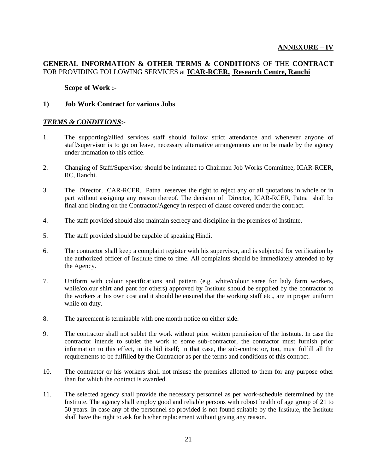# **GENERAL INFORMATION & OTHER TERMS & CONDITIONS** OF THE **CONTRACT** FOR PROVIDING FOLLOWING SERVICES at **ICAR-RCER, Research Centre, Ranchi**

**Scope of Work :-**

#### **1) Job Work Contract** for **various Jobs**

#### *TERMS & CONDITIONS***:-**

- 1. The supporting/allied services staff should follow strict attendance and whenever anyone of staff/supervisor is to go on leave, necessary alternative arrangements are to be made by the agency under intimation to this office.
- 2. Changing of Staff/Supervisor should be intimated to Chairman Job Works Committee, ICAR-RCER, RC, Ranchi.
- 3. The Director, ICAR-RCER, Patna reserves the right to reject any or all quotations in whole or in part without assigning any reason thereof. The decision of Director, ICAR-RCER, Patna shall be final and binding on the Contractor/Agency in respect of clause covered under the contract.
- 4. The staff provided should also maintain secrecy and discipline in the premises of Institute.
- 5. The staff provided should be capable of speaking Hindi.
- 6. The contractor shall keep a complaint register with his supervisor, and is subjected for verification by the authorized officer of Institute time to time. All complaints should be immediately attended to by the Agency.
- 7. Uniform with colour specifications and pattern (e.g. white/colour saree for lady farm workers, while/colour shirt and pant for others) approved by Institute should be supplied by the contractor to the workers at his own cost and it should be ensured that the working staff etc., are in proper uniform while on duty.
- 8. The agreement is terminable with one month notice on either side.
- 9. The contractor shall not sublet the work without prior written permission of the Institute. In case the contractor intends to sublet the work to some sub-contractor, the contractor must furnish prior information to this effect, in its bid itself; in that case, the sub-contractor, too, must fulfill all the requirements to be fulfilled by the Contractor as per the terms and conditions of this contract.
- 10. The contractor or his workers shall not misuse the premises allotted to them for any purpose other than for which the contract is awarded.
- 11. The selected agency shall provide the necessary personnel as per work-schedule determined by the Institute. The agency shall employ good and reliable persons with robust health of age group of 21 to 50 years. In case any of the personnel so provided is not found suitable by the Institute, the Institute shall have the right to ask for his/her replacement without giving any reason.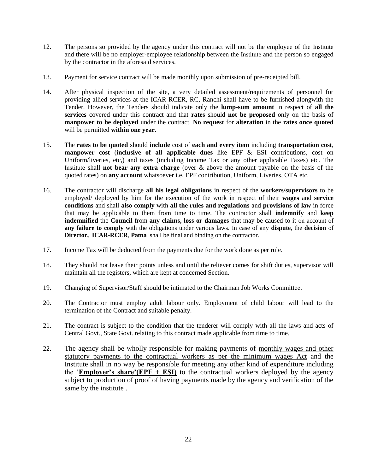- 12. The persons so provided by the agency under this contract will not be the employee of the Institute and there will be no employer-employee relationship between the Institute and the person so engaged by the contractor in the aforesaid services.
- 13. Payment for service contract will be made monthly upon submission of pre-receipted bill.
- 14. After physical inspection of the site, a very detailed assessment/requirements of personnel for providing allied services at the ICAR-RCER, RC, Ranchi shall have to be furnished alongwith the Tender. However, the Tenders should indicate only the **lump-sum amount** in respect of **all the services** covered under this contract and that **rates** should **not be proposed** only on the basis of **manpower to be deployed** under the contract. **No request** for **alteration** in the **rates once quoted** will be permitted **within one year**.
- 15. The **rates to be quoted** should **include** cost of **each and every item** including **transportation cost**, **manpower cost** (**inclusive of all applicable dues** like EPF & ESI contributions, cost on Uniform/liveries, etc,) and taxes (including Income Tax or any other applicable Taxes) etc. The Institute shall **not bear any extra charge** (over & above the amount payable on the basis of the quoted rates) on **any account** whatsoever i.e. EPF contribution, Uniform, Liveries, OTA etc.
- 16. The contractor will discharge **all his legal obligations** in respect of the **workers/supervisors** to be employed/ deployed by him for the execution of the work in respect of their **wages** and **service conditions** and shall **also comply** with **all the rules and regulations** and **provisions of law** in force that may be applicable to them from time to time. The contractor shall **indemnify** and **keep indemnified** the **Council** from **any claims, loss or damages** that may be caused to it on account of **any failure to comply** with the obligations under various laws. In case of any **dispute**, the **decision** of **Director, ICAR-RCER**, **Patna** shall be final and binding on the contractor.
- 17. Income Tax will be deducted from the payments due for the work done as per rule.
- 18. They should not leave their points unless and until the reliever comes for shift duties, supervisor will maintain all the registers, which are kept at concerned Section.
- 19. Changing of Supervisor/Staff should be intimated to the Chairman Job Works Committee.
- 20. The Contractor must employ adult labour only. Employment of child labour will lead to the termination of the Contract and suitable penalty.
- 21. The contract is subject to the condition that the tenderer will comply with all the laws and acts of Central Govt., State Govt. relating to this contract made applicable from time to time.
- 22. The agency shall be wholly responsible for making payments of monthly wages and other statutory payments to the contractual workers as per the minimum wages Act and the Institute shall in no way be responsible for meeting any other kind of expenditure including the **'Employer's share'**(EPF  $+$  ESI) to the contractual workers deployed by the agency subject to production of proof of having payments made by the agency and verification of the same by the institute .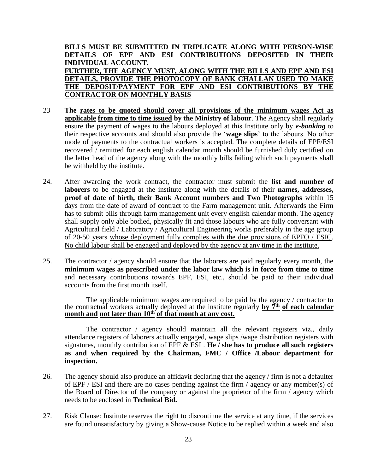## **BILLS MUST BE SUBMITTED IN TRIPLICATE ALONG WITH PERSON-WISE DETAILS OF EPF AND ESI CONTRIBUTIONS DEPOSITED IN THEIR INDIVIDUAL ACCOUNT. FURTHER, THE AGENCY MUST, ALONG WITH THE BILLS AND EPF AND ESI DETAILS, PROVIDE THE PHOTOCOPY OF BANK CHALLAN USED TO MAKE THE DEPOSIT/PAYMENT FOR EPF AND ESI CONTRIBUTIONS BY THE CONTRACTOR ON MONTHLY BASIS**

- 23 **The rates to be quoted should cover all provisions of the minimum wages Act as applicable from time to time issued by the Ministry of labour**. The Agency shall regularly ensure the payment of wages to the labours deployed at this Institute only by *e-banking* to their respective accounts and should also provide the '**wage slips**' to the labours. No other mode of payments to the contractual workers is accepted. The complete details of EPF/ESI recovered / remitted for each english calendar month should be furnished duly certified on the letter head of the agency along with the monthly bills failing which such payments shall be withheld by the institute.
- 24. After awarding the work contract, the contractor must submit the **list and number of laborers** to be engaged at the institute along with the details of their **names, addresses, proof of date of birth, their Bank Account numbers and Two Photographs** within 15 days from the date of award of contract to the Farm management unit. Afterwards the Firm has to submit bills through farm management unit every english calendar month. The agency shall supply only able bodied, physically fit and those labours who are fully conversant with Agricultural field / Laboratory / Agricultural Engineering works preferably in the age group of 20-50 years whose deployment fully complies with the due provisions of EPFO / ESIC. No child labour shall be engaged and deployed by the agency at any time in the institute.
- 25. The contractor / agency should ensure that the laborers are paid regularly every month, the **minimum wages as prescribed under the labor law which is in force from time to time**  and necessary contributions towards EPF, ESI, etc., should be paid to their individual accounts from the first month itself.

The applicable minimum wages are required to be paid by the agency / contractor to the contractual workers actually deployed at the institute regularly **by 7th of each calendar month and not later than 10th of that month at any cost.**

The contractor / agency should maintain all the relevant registers viz., daily attendance registers of laborers actually engaged, wage slips /wage distribution registers with signatures, monthly contribution of EPF & ESI . **He / she has to produce all such registers as and when required by the Chairman, FMC / Office /Labour department for inspection.** 

- 26. The agency should also produce an affidavit declaring that the agency / firm is not a defaulter of EPF / ESI and there are no cases pending against the firm / agency or any member(s) of the Board of Director of the company or against the proprietor of the firm / agency which needs to be enclosed in **Technical Bid.**
- 27. Risk Clause: Institute reserves the right to discontinue the service at any time, if the services are found unsatisfactory by giving a Show-cause Notice to be replied within a week and also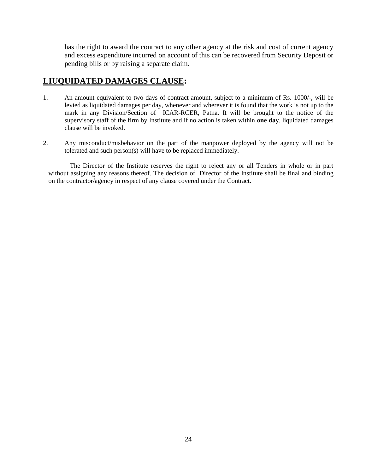has the right to award the contract to any other agency at the risk and cost of current agency and excess expenditure incurred on account of this can be recovered from Security Deposit or pending bills or by raising a separate claim.

# **LIUQUIDATED DAMAGES CLAUSE:**

- 1. An amount equivalent to two days of contract amount, subject to a minimum of Rs. 1000/-, will be levied as liquidated damages per day, whenever and wherever it is found that the work is not up to the mark in any Division/Section of ICAR-RCER, Patna. It will be brought to the notice of the supervisory staff of the firm by Institute and if no action is taken within **one day**, liquidated damages clause will be invoked.
- 2. Any misconduct/misbehavior on the part of the manpower deployed by the agency will not be tolerated and such person(s) will have to be replaced immediately.

The Director of the Institute reserves the right to reject any or all Tenders in whole or in part without assigning any reasons thereof. The decision of Director of the Institute shall be final and binding on the contractor/agency in respect of any clause covered under the Contract.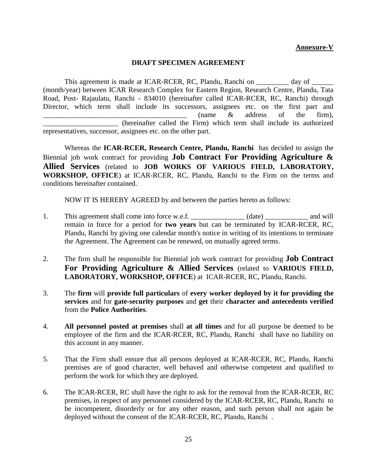# **Annexure-V**

#### **DRAFT SPECIMEN AGREEMENT**

This agreement is made at ICAR-RCER, RC, Plandu, Ranchi on \_\_\_\_\_\_\_\_\_ day of \_\_\_\_\_\_ (month/year) between ICAR Research Complex for Eastern Region, Research Centre, Plandu, Tata Road, Post- Rajaulatu, Ranchi - 834010 (hereinafter called ICAR-RCER, RC, Ranchi) through Director, which term shall include its successors, assignees etc. on the first part and  $\therefore$   $\therefore$   $\therefore$   $\therefore$   $\therefore$   $\therefore$   $\therefore$   $\therefore$   $\therefore$   $\therefore$   $\therefore$   $\therefore$   $\therefore$   $\therefore$   $\therefore$   $\therefore$   $\therefore$   $\therefore$   $\therefore$   $\therefore$   $\therefore$   $\therefore$   $\therefore$   $\therefore$   $\therefore$   $\therefore$   $\therefore$   $\therefore$   $\therefore$   $\therefore$   $\therefore$   $\therefore$   $\therefore$   $\therefore$   $\therefore$   $\therefore$   $\therefore$ \_\_\_\_\_\_\_\_\_\_\_\_\_\_\_\_\_\_\_\_\_ (hereinafter called the Firm) which term shall include its authorized representatives, successor, assignees etc. on the other part.

Whereas the **ICAR-RCER, Research Centre, Plandu, Ranchi** has decided to assign the Biennial job work contract for providing **Job Contract For Providing Agriculture & Allied Services** (related to **JOB WORKS OF VARIOUS FIELD, LABORATORY, WORKSHOP, OFFICE**) at ICAR-RCER, RC, Plandu, Ranchi to the Firm on the terms and conditions hereinafter contained.

NOW IT IS HEREBY AGREED by and between the parties hereto as follows:

- 1. This agreement shall come into force w.e.f. \_\_\_\_\_\_\_\_\_\_\_\_\_\_ (date) \_\_\_\_\_\_\_\_\_\_\_ and will remain in force for a period for **two years** but can be terminated by ICAR-RCER, RC, Plandu, Ranchi by giving one calendar month's notice in writing of its intentions to terminate the Agreement. The Agreement can be renewed, on mutually agreed terms.
- 2. The firm shall be responsible for Biennial job work contract for providing **Job Contract For Providing Agriculture & Allied Services** (related to **VARIOUS FIELD, LABORATORY, WORKSHOP, OFFICE**) at ICAR-RCER, RC, Plandu, Ranchi.
- 3. The **firm** will **provide full particulars** of **every worker deployed by it for providing the services** and for **gate-security purposes** and **get** their **character and antecedents verified**  from the **Police Authorities**.
- 4. **All personnel posted at premises** shall **at all times** and for all purpose be deemed to be employee of the firm and the ICAR-RCER, RC, Plandu, Ranchi shall have no liability on this account in any manner.
- 5. That the Firm shall ensure that all persons deployed at ICAR-RCER, RC, Plandu, Ranchi premises are of good character, well behaved and otherwise competent and qualified to perform the work for which they are deployed.
- 6. The ICAR-RCER, RC shall have the right to ask for the removal from the ICAR-RCER, RC premises, in respect of any personnel considered by the ICAR-RCER, RC, Plandu, Ranchi to be incompetent, disorderly or for any other reason, and such person shall not again be deployed without the consent of the ICAR-RCER, RC, Plandu, Ranchi .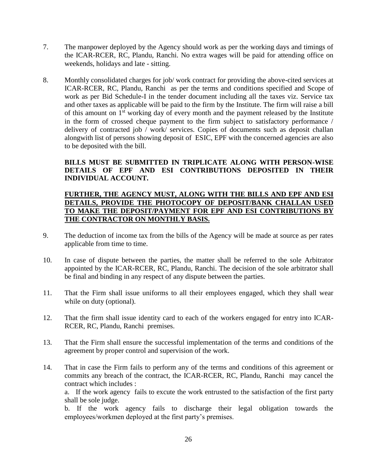- 7. The manpower deployed by the Agency should work as per the working days and timings of the ICAR-RCER, RC, Plandu, Ranchi. No extra wages will be paid for attending office on weekends, holidays and late - sitting.
- 8. Monthly consolidated charges for job/ work contract for providing the above-cited services at ICAR-RCER, RC, Plandu, Ranchi as per the terms and conditions specified and Scope of work as per Bid Schedule-I in the tender document including all the taxes viz. Service tax and other taxes as applicable will be paid to the firm by the Institute. The firm will raise a bill of this amount on  $1<sup>st</sup>$  working day of every month and the payment released by the Institute in the form of crossed cheque payment to the firm subject to satisfactory performance / delivery of contracted job / work/ services. Copies of documents such as deposit challan alongwith list of persons showing deposit of ESIC, EPF with the concerned agencies are also to be deposited with the bill.

### **BILLS MUST BE SUBMITTED IN TRIPLICATE ALONG WITH PERSON-WISE DETAILS OF EPF AND ESI CONTRIBUTIONS DEPOSITED IN THEIR INDIVIDUAL ACCOUNT.**

# **FURTHER, THE AGENCY MUST, ALONG WITH THE BILLS AND EPF AND ESI DETAILS, PROVIDE THE PHOTOCOPY OF DEPOSIT/BANK CHALLAN USED TO MAKE THE DEPOSIT/PAYMENT FOR EPF AND ESI CONTRIBUTIONS BY THE CONTRACTOR ON MONTHLY BASIS.**

- 9. The deduction of income tax from the bills of the Agency will be made at source as per rates applicable from time to time.
- 10. In case of dispute between the parties, the matter shall be referred to the sole Arbitrator appointed by the ICAR-RCER, RC, Plandu, Ranchi. The decision of the sole arbitrator shall be final and binding in any respect of any dispute between the parties.
- 11. That the Firm shall issue uniforms to all their employees engaged, which they shall wear while on duty (optional).
- 12. That the firm shall issue identity card to each of the workers engaged for entry into ICAR-RCER, RC, Plandu, Ranchi premises.
- 13. That the Firm shall ensure the successful implementation of the terms and conditions of the agreement by proper control and supervision of the work.
- 14. That in case the Firm fails to perform any of the terms and conditions of this agreement or commits any breach of the contract, the ICAR-RCER, RC, Plandu, Ranchi may cancel the contract which includes :

a. If the work agency fails to excute the work entrusted to the satisfaction of the first party shall be sole judge.

b. If the work agency fails to discharge their legal obligation towards the employees/workmen deployed at the first party's premises.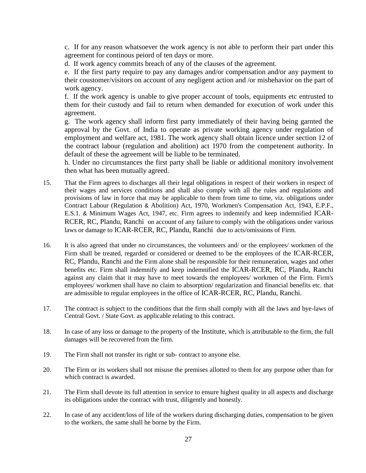c. If for any reason whatsoever the work agency is not able to perform their part under this agreement for continous peiord of ten days or more.

d. If work agency commits breach of any of the clauses of the agreement.

e. If the first party require to pay any damages and/or compensation and/or any payment to their coustomer/visitors on account of any negligent action and /or misbehavior on the part of work agency.

f. If the work agency is unable to give proper account of tools, equipments etc entrusted to them for their custody and fail to return when demanded for execution of work under this agreement.

g. The work agency shall inform first party immediately of their having being garnted the approval by the Govt. of India to operate as private working agency under regulation of employment and welfare act, 1981. The work agency shall obtain licence under section 12 of the contract labour (regulation and abolition) act 1970 from the competenent authority. In default of these the agreement will be liable to be terminated.

h. Under no circumstances the first party shall be liable or additional monitory involvement then what has been mutually agreed.

- 15. That the Firm agrees to discharges all their legal obligations in respect of their workers in respect of their wages and services conditions and shall also comply with all the rules and regulations and provisions of law in force that may be applicable to them from time to time, viz. obligations under Contract Labour (Regulation & Abolition) Act, 1970, Workmen's Compensation Act, 1943, E.P.F., E.S.1. & Minimum Wages Act, 1947, etc. Firm agrees to indemnify and keep indemnified ICAR-RCER, RC, Plandu, Ranchi on account of any failure to comply with the obligations under various laws or damage to ICAR-RCER, RC, Plandu, Ranchi due to acts/omissions of Firm.
- 16. It is also agreed that under no circumstances, the volunteers and/ or the employees/ workmen of the Firm shall be treated, regarded or considered or deemed to be the employees of the ICAR-RCER, RC, Plandu, Ranchi and the Firm alone shall be responsible for their remuneration, wages and other benefits etc. Firm shall indemnify and keep indemnified the ICAR-RCER, RC, Plandu, Ranchi against any claim that it may have to meet towards the employees/ workmen of the Firm. Firm's employees/ workmen shall have no claim to absorption/ regularization and financial benefits etc. that are admissible to regular employees in the office of ICAR-RCER, RC, Plandu, Ranchi.
- 17. The contract is subject to the conditions that the firm shall comply with all the laws and bye-laws of Central Govt. / State Govt. as applicable relating to this contract.
- 18. In case of any loss or damage to the property of the Institute, which is attributable to the firm, the full damages will be recovered from the firm.
- 19. The Firm shall not transfer its right or sub- contract to anyone else.
- 20. The Firm or its workers shall not misuse the premises allotted to them for any purpose other than for which contract is awarded.
- 21. The Firm shall devote its full attention in service to ensure highest quality in all aspects and discharge its obligations under the contract with trust, diligently and honestly.
- 22. In case of any accident/loss of life of the workers during discharging duties, compensation to be given to the workers, the same shall he borne by the Firm.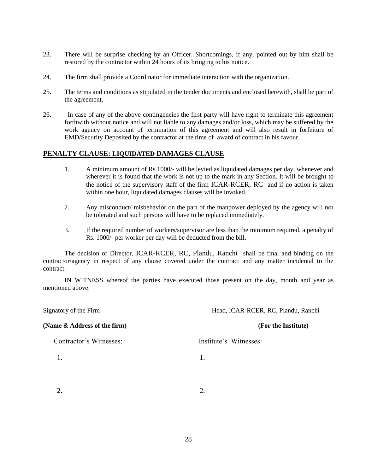- 23. There will be surprise checking by an Officer. Shortcomings, if any, pointed out by him shall be restored by the contractor within 24 hours of its bringing to his notice.
- 24. The firm shall provide a Coordinator for immediate interaction with the organization.
- 25. The terms and conditions as stipulated in the tender documents and enclosed herewith, shall be part of the agreement.
- 26. In case of any of the above contingencies the first party will have right to terminate this agreement forthwith without notice and will not liable to any damages and/or loss, which may be suffered by the work agency on account of termination of this agreement and will also result in forfeiture of EMD/Security Deposited by the contractor at the time of award of contract in his favour.

#### **PENALTY CLAUSE: LIQUIDATED DAMAGES CLAUSE**

- 1. A minimum amount of Rs.1000/- will be levied as liquidated damages per day, whenever and wherever it is found that the work is not up to the mark in any Section. It will be brought to the notice of the supervisory staff of the firm ICAR-RCER, RC and if no action is taken within one hour, liquidated damages clauses will be invoked.
- 2. Any misconduct/ misbehavior on the part of the manpower deployed by the agency will not be tolerated and such persons will have to be replaced immediately.
- 3. If the required number of workers/supervisor are less than the minimum required, a penalty of Rs. 1000/- per worker per day will be deducted from the bill.

The decision of Director, ICAR-RCER, RC, Plandu, Ranchi shall be final and binding on the contractor/agency in respect of any clause covered under the contract and any matter incidental to the contract.

IN WITNESS whereof the parties have executed those present on the day, month and year as mentioned above.

Signatory of the Firm Head, ICAR-RCER, RC, Plandu, Ranchi **(Name & Address of the firm) (For the Institute)** Contractor's Witnesses: Institute's Witnesses: 1. 1.

 $2.$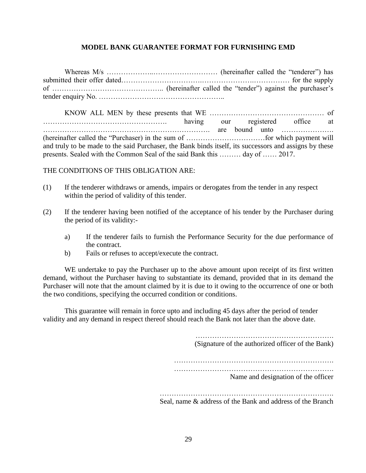### **MODEL BANK GUARANTEE FORMAT FOR FURNISHING EMD**

Whereas M/s ………………..……………………… (hereinafter called the "tenderer") has submitted their offer dated…………………………….………………….…………… for the supply of ……………………………………….. (hereinafter called the "tender") against the purchaser's tender enquiry No. ……………………………………………..

KNOW ALL MEN by these presents that WE ………………………………………… of ……………………………………………. having our registered office at ……………………………………………………………. are bound unto …………………. (hereinafter called the "Purchaser) in the sum of ……………………………for which payment will and truly to be made to the said Purchaser, the Bank binds itself, its successors and assigns by these presents. Sealed with the Common Seal of the said Bank this ……… day of …… 2017.

#### THE CONDITIONS OF THIS OBLIGATION ARE:

- (1) If the tenderer withdraws or amends, impairs or derogates from the tender in any respect within the period of validity of this tender.
- (2) If the tenderer having been notified of the acceptance of his tender by the Purchaser during the period of its validity:
	- a) If the tenderer fails to furnish the Performance Security for the due performance of the contract.
	- b) Fails or refuses to accept/execute the contract.

WE undertake to pay the Purchaser up to the above amount upon receipt of its first written demand, without the Purchaser having to substantiate its demand, provided that in its demand the Purchaser will note that the amount claimed by it is due to it owing to the occurrence of one or both the two conditions, specifying the occurred condition or conditions.

This guarantee will remain in force upto and including 45 days after the period of tender validity and any demand in respect thereof should reach the Bank not later than the above date.

> …………………………………………………. (Signature of the authorized officer of the Bank) …………………………………………………………. …………………………………………………………. Name and designation of the officer ……………………………………………………………….

Seal, name & address of the Bank and address of the Branch